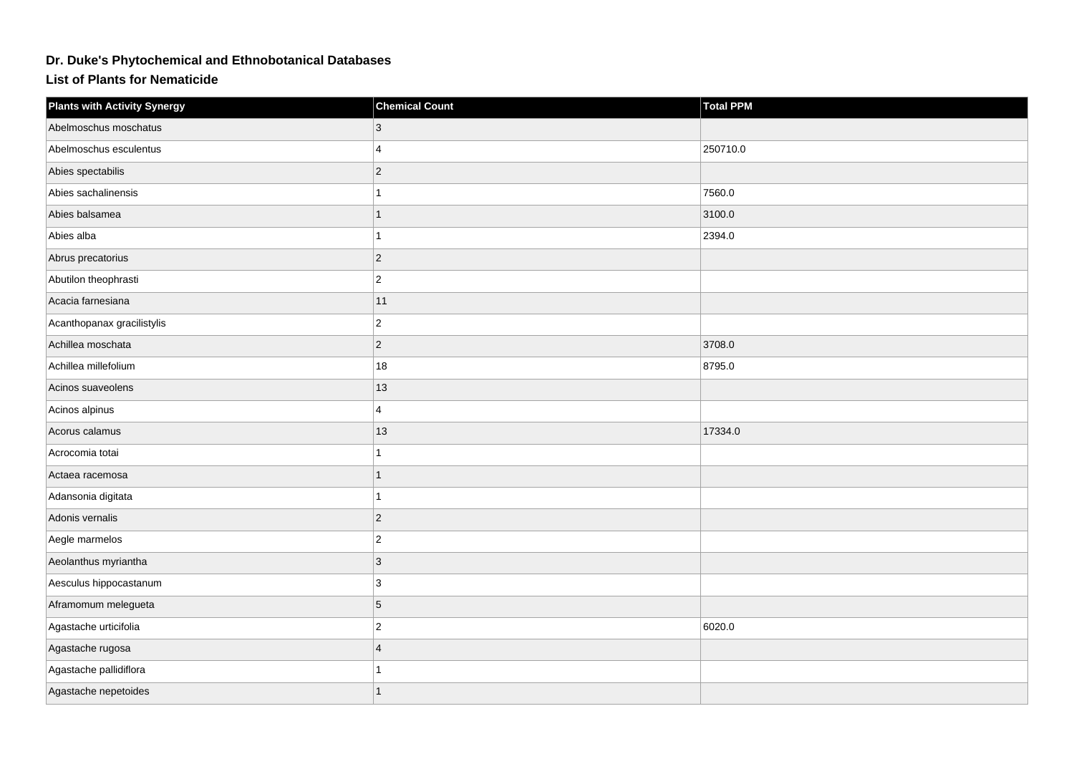## **Dr. Duke's Phytochemical and Ethnobotanical Databases**

**List of Plants for Nematicide**

| <b>Plants with Activity Synergy</b> | <b>Chemical Count</b> | Total PPM |
|-------------------------------------|-----------------------|-----------|
| Abelmoschus moschatus               | 3                     |           |
| Abelmoschus esculentus              | $\overline{4}$        | 250710.0  |
| Abies spectabilis                   | $ 2\rangle$           |           |
| Abies sachalinensis                 | 1                     | 7560.0    |
| Abies balsamea                      | $\mathbf{1}$          | 3100.0    |
| Abies alba                          | 1                     | 2394.0    |
| Abrus precatorius                   | $ 2\rangle$           |           |
| Abutilon theophrasti                | $ 2\rangle$           |           |
| Acacia farnesiana                   | 11                    |           |
| Acanthopanax gracilistylis          | $ 2\rangle$           |           |
| Achillea moschata                   | $ 2\rangle$           | 3708.0    |
| Achillea millefolium                | 18                    | 8795.0    |
| Acinos suaveolens                   | 13                    |           |
| Acinos alpinus                      | $\overline{4}$        |           |
| Acorus calamus                      | 13                    | 17334.0   |
| Acrocomia totai                     | 1                     |           |
| Actaea racemosa                     | $\overline{1}$        |           |
| Adansonia digitata                  | 1                     |           |
| Adonis vernalis                     | $ 2\rangle$           |           |
| Aegle marmelos                      | $\overline{2}$        |           |
| Aeolanthus myriantha                | 3                     |           |
| Aesculus hippocastanum              | 3                     |           |
| Aframomum melegueta                 | 5                     |           |
| Agastache urticifolia               | $ 2\rangle$           | 6020.0    |
| Agastache rugosa                    | 4                     |           |
| Agastache pallidiflora              |                       |           |
| Agastache nepetoides                | 1                     |           |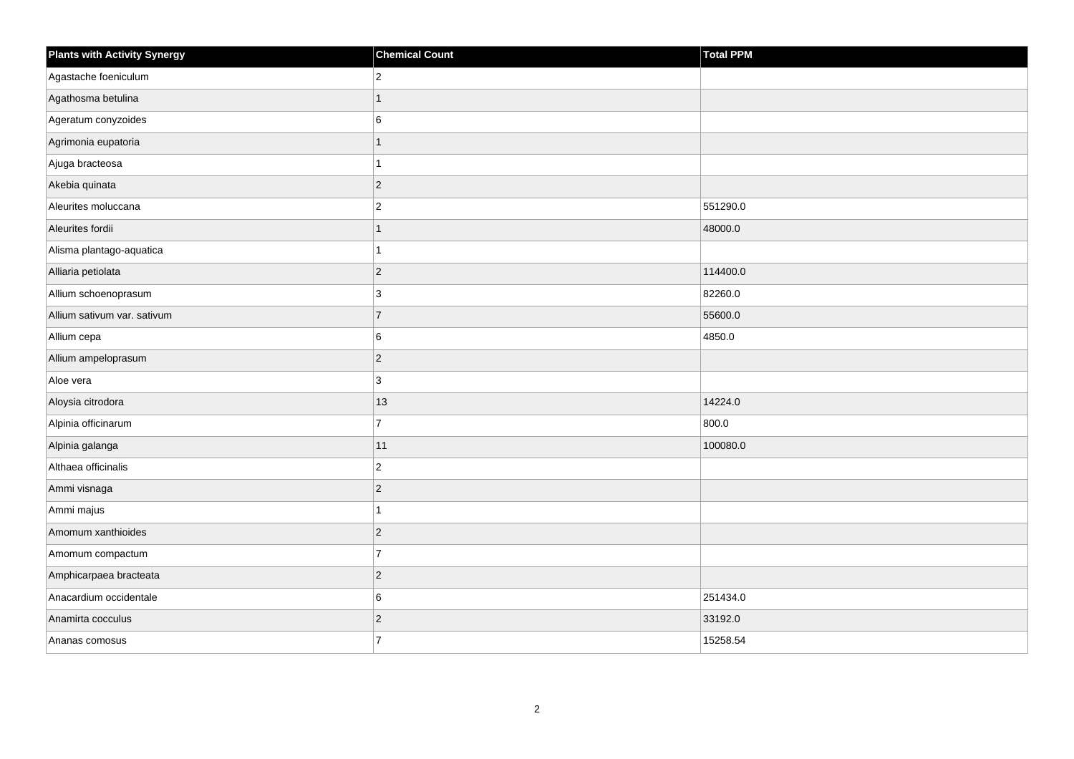| <b>Plants with Activity Synergy</b> | <b>Chemical Count</b> | <b>Total PPM</b> |
|-------------------------------------|-----------------------|------------------|
| Agastache foeniculum                | $\overline{2}$        |                  |
| Agathosma betulina                  |                       |                  |
| Ageratum conyzoides                 | 6                     |                  |
| Agrimonia eupatoria                 | 1                     |                  |
| Ajuga bracteosa                     |                       |                  |
| Akebia quinata                      | $\overline{2}$        |                  |
| Aleurites moluccana                 | $\overline{c}$        | 551290.0         |
| Aleurites fordii                    | 1                     | 48000.0          |
| Alisma plantago-aquatica            |                       |                  |
| Alliaria petiolata                  | $\overline{c}$        | 114400.0         |
| Allium schoenoprasum                | 3                     | 82260.0          |
| Allium sativum var. sativum         | $\overline{7}$        | 55600.0          |
| Allium cepa                         | 6                     | 4850.0           |
| Allium ampeloprasum                 | $\overline{2}$        |                  |
| Aloe vera                           | 3                     |                  |
| Aloysia citrodora                   | 13                    | 14224.0          |
| Alpinia officinarum                 | $\overline{7}$        | 800.0            |
| Alpinia galanga                     | 11                    | 100080.0         |
| Althaea officinalis                 | $\overline{2}$        |                  |
| Ammi visnaga                        | $\overline{a}$        |                  |
| Ammi majus                          |                       |                  |
| Amomum xanthioides                  | $\overline{2}$        |                  |
| Amomum compactum                    | $\overline{7}$        |                  |
| Amphicarpaea bracteata              | $\overline{2}$        |                  |
| Anacardium occidentale              | 6                     | 251434.0         |
| Anamirta cocculus                   | $\overline{2}$        | 33192.0          |
| Ananas comosus                      | $\overline{7}$        | 15258.54         |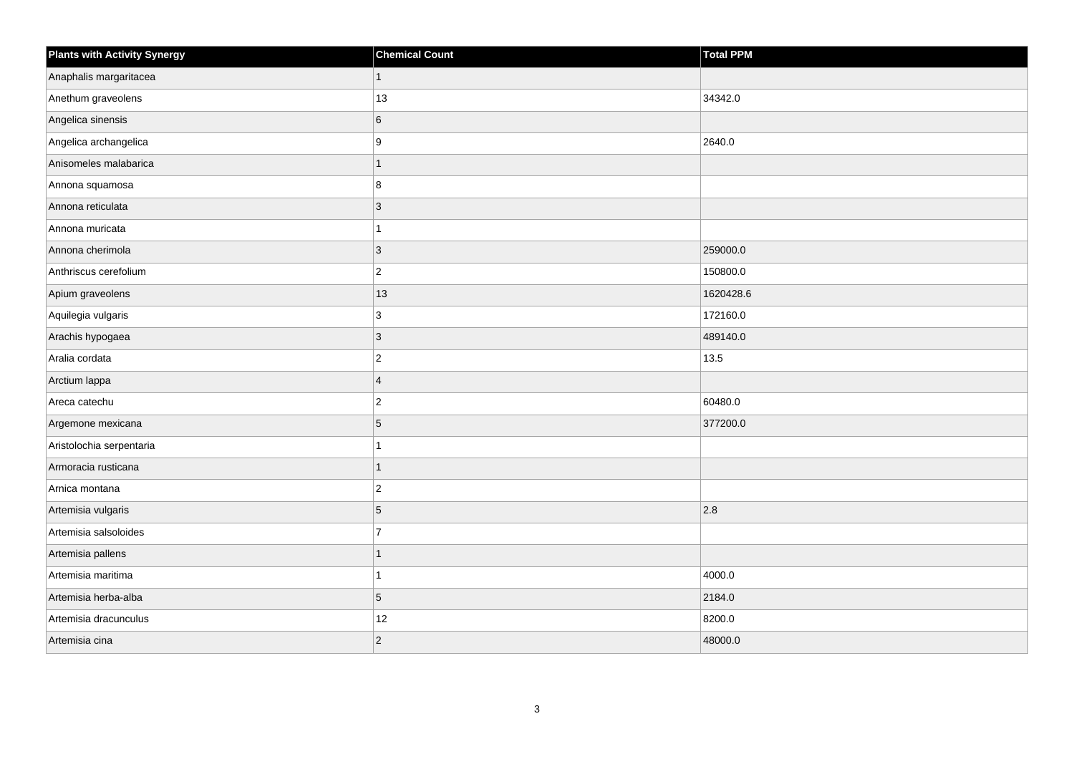| <b>Plants with Activity Synergy</b> | <b>Chemical Count</b> | <b>Total PPM</b> |
|-------------------------------------|-----------------------|------------------|
| Anaphalis margaritacea              | 1                     |                  |
| Anethum graveolens                  | 13                    | 34342.0          |
| Angelica sinensis                   | 6                     |                  |
| Angelica archangelica               | 9                     | 2640.0           |
| Anisomeles malabarica               |                       |                  |
| Annona squamosa                     | 8                     |                  |
| Annona reticulata                   | $\overline{3}$        |                  |
| Annona muricata                     |                       |                  |
| Annona cherimola                    | $\overline{3}$        | 259000.0         |
| Anthriscus cerefolium               | $\overline{2}$        | 150800.0         |
| Apium graveolens                    | 13                    | 1620428.6        |
| Aquilegia vulgaris                  | 3                     | 172160.0         |
| Arachis hypogaea                    | 3                     | 489140.0         |
| Aralia cordata                      | $\overline{2}$        | 13.5             |
| Arctium lappa                       | $\overline{4}$        |                  |
| Areca catechu                       | $\overline{2}$        | 60480.0          |
| Argemone mexicana                   | 5                     | 377200.0         |
| Aristolochia serpentaria            |                       |                  |
| Armoracia rusticana                 | 1                     |                  |
| Arnica montana                      | $\overline{2}$        |                  |
| Artemisia vulgaris                  | 5                     | 2.8              |
| Artemisia salsoloides               | $\overline{7}$        |                  |
| Artemisia pallens                   |                       |                  |
| Artemisia maritima                  |                       | 4000.0           |
| Artemisia herba-alba                | 5                     | 2184.0           |
| Artemisia dracunculus               | 12                    | 8200.0           |
| Artemisia cina                      | $\overline{2}$        | 48000.0          |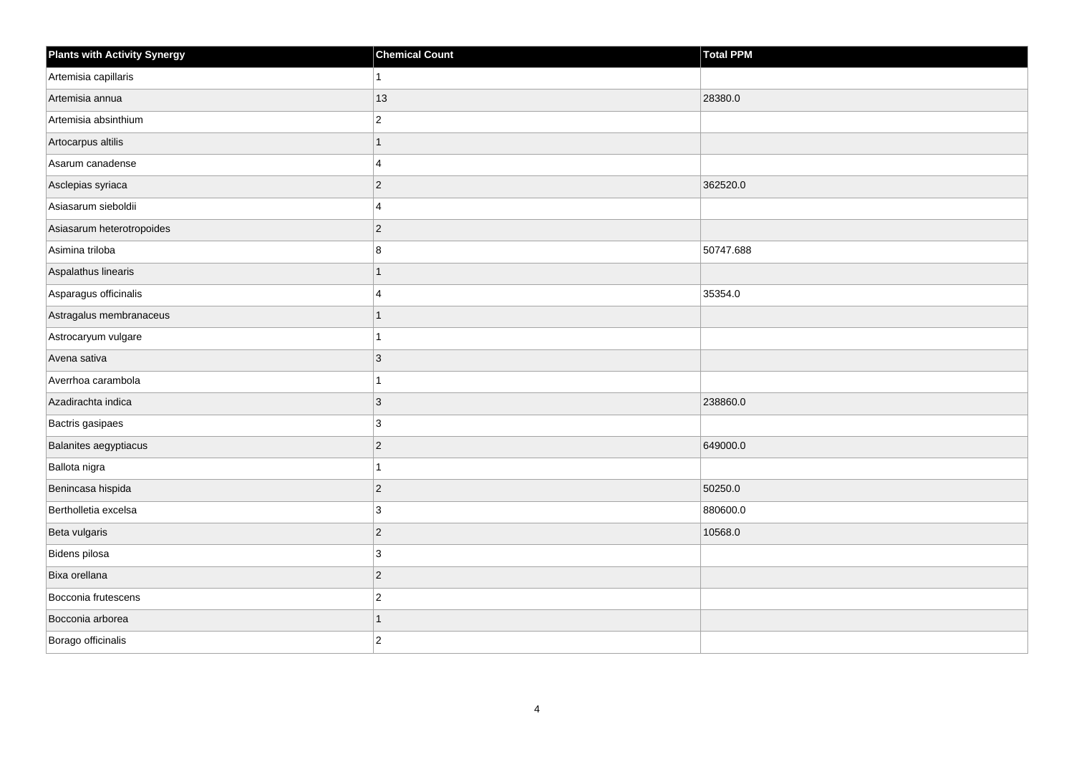| <b>Plants with Activity Synergy</b> | <b>Chemical Count</b> | <b>Total PPM</b> |
|-------------------------------------|-----------------------|------------------|
| Artemisia capillaris                |                       |                  |
| Artemisia annua                     | 13                    | 28380.0          |
| Artemisia absinthium                | $\overline{c}$        |                  |
| Artocarpus altilis                  | 1                     |                  |
| Asarum canadense                    | 4                     |                  |
| Asclepias syriaca                   | $\overline{2}$        | 362520.0         |
| Asiasarum sieboldii                 | 4                     |                  |
| Asiasarum heterotropoides           | $\overline{2}$        |                  |
| Asimina triloba                     | 8                     | 50747.688        |
| Aspalathus linearis                 | 1                     |                  |
| Asparagus officinalis               | 4                     | 35354.0          |
| Astragalus membranaceus             |                       |                  |
| Astrocaryum vulgare                 |                       |                  |
| Avena sativa                        | 3                     |                  |
| Averrhoa carambola                  |                       |                  |
| Azadirachta indica                  | 3                     | 238860.0         |
| Bactris gasipaes                    | 3                     |                  |
| Balanites aegyptiacus               | $\overline{2}$        | 649000.0         |
| Ballota nigra                       |                       |                  |
| Benincasa hispida                   | $\overline{2}$        | 50250.0          |
| Bertholletia excelsa                | 3                     | 880600.0         |
| Beta vulgaris                       | $\overline{2}$        | 10568.0          |
| Bidens pilosa                       | 3                     |                  |
| Bixa orellana                       | $\overline{2}$        |                  |
| Bocconia frutescens                 | $\overline{c}$        |                  |
| Bocconia arborea                    |                       |                  |
| Borago officinalis                  | $\overline{2}$        |                  |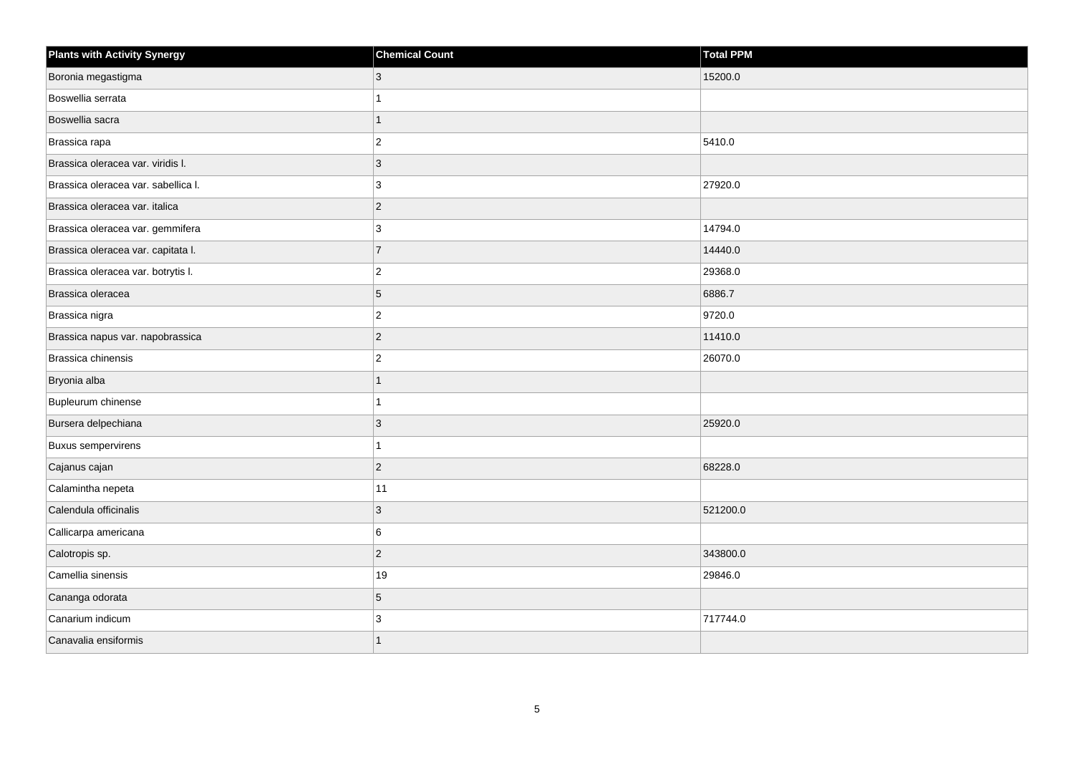| <b>Plants with Activity Synergy</b> | <b>Chemical Count</b> | <b>Total PPM</b> |
|-------------------------------------|-----------------------|------------------|
| Boronia megastigma                  | 3                     | 15200.0          |
| Boswellia serrata                   |                       |                  |
| Boswellia sacra                     |                       |                  |
| Brassica rapa                       | $\overline{2}$        | 5410.0           |
| Brassica oleracea var. viridis I.   | 3                     |                  |
| Brassica oleracea var. sabellica I. | 3                     | 27920.0          |
| Brassica oleracea var. italica      | $\overline{2}$        |                  |
| Brassica oleracea var. gemmifera    | 3                     | 14794.0          |
| Brassica oleracea var. capitata I.  | $\overline{7}$        | 14440.0          |
| Brassica oleracea var. botrytis I.  | $\overline{2}$        | 29368.0          |
| Brassica oleracea                   | 5                     | 6886.7           |
| Brassica nigra                      | $\overline{2}$        | 9720.0           |
| Brassica napus var. napobrassica    | $\overline{2}$        | 11410.0          |
| Brassica chinensis                  | $\overline{2}$        | 26070.0          |
| Bryonia alba                        |                       |                  |
| Bupleurum chinense                  |                       |                  |
| Bursera delpechiana                 | 3                     | 25920.0          |
| <b>Buxus sempervirens</b>           |                       |                  |
| Cajanus cajan                       | $\overline{2}$        | 68228.0          |
| Calamintha nepeta                   | 11                    |                  |
| Calendula officinalis               | 3                     | 521200.0         |
| Callicarpa americana                | 6                     |                  |
| Calotropis sp.                      | $\overline{a}$        | 343800.0         |
| Camellia sinensis                   | 19                    | 29846.0          |
| Cananga odorata                     | 5                     |                  |
| Canarium indicum                    | 3                     | 717744.0         |
| Canavalia ensiformis                |                       |                  |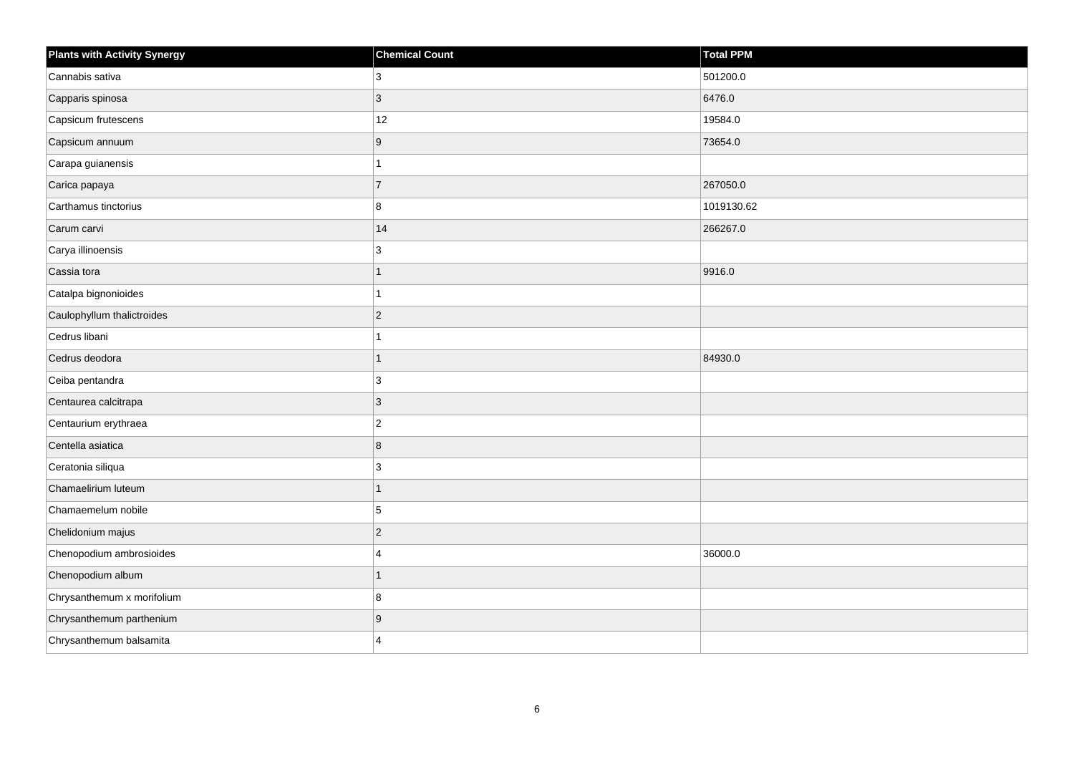| <b>Plants with Activity Synergy</b> | <b>Chemical Count</b> | Total PPM  |
|-------------------------------------|-----------------------|------------|
| Cannabis sativa                     | 3                     | 501200.0   |
| Capparis spinosa                    | 3                     | 6476.0     |
| Capsicum frutescens                 | 12                    | 19584.0    |
| Capsicum annuum                     | 9                     | 73654.0    |
| Carapa guianensis                   |                       |            |
| Carica papaya                       | $\overline{7}$        | 267050.0   |
| Carthamus tinctorius                | 8                     | 1019130.62 |
| Carum carvi                         | 14                    | 266267.0   |
| Carya illinoensis                   | 3                     |            |
| Cassia tora                         | 1                     | 9916.0     |
| Catalpa bignonioides                |                       |            |
| Caulophyllum thalictroides          | $\overline{2}$        |            |
| Cedrus libani                       |                       |            |
| Cedrus deodora                      | 1                     | 84930.0    |
| Ceiba pentandra                     | 3                     |            |
| Centaurea calcitrapa                | 3                     |            |
| Centaurium erythraea                | $\overline{2}$        |            |
| Centella asiatica                   | 8                     |            |
| Ceratonia siliqua                   | 3                     |            |
| Chamaelirium luteum                 |                       |            |
| Chamaemelum nobile                  | 5                     |            |
| Chelidonium majus                   | $\overline{c}$        |            |
| Chenopodium ambrosioides            | $\boldsymbol{\Delta}$ | 36000.0    |
| Chenopodium album                   |                       |            |
| Chrysanthemum x morifolium          | 8                     |            |
| Chrysanthemum parthenium            | 9                     |            |
| Chrysanthemum balsamita             | $\Delta$              |            |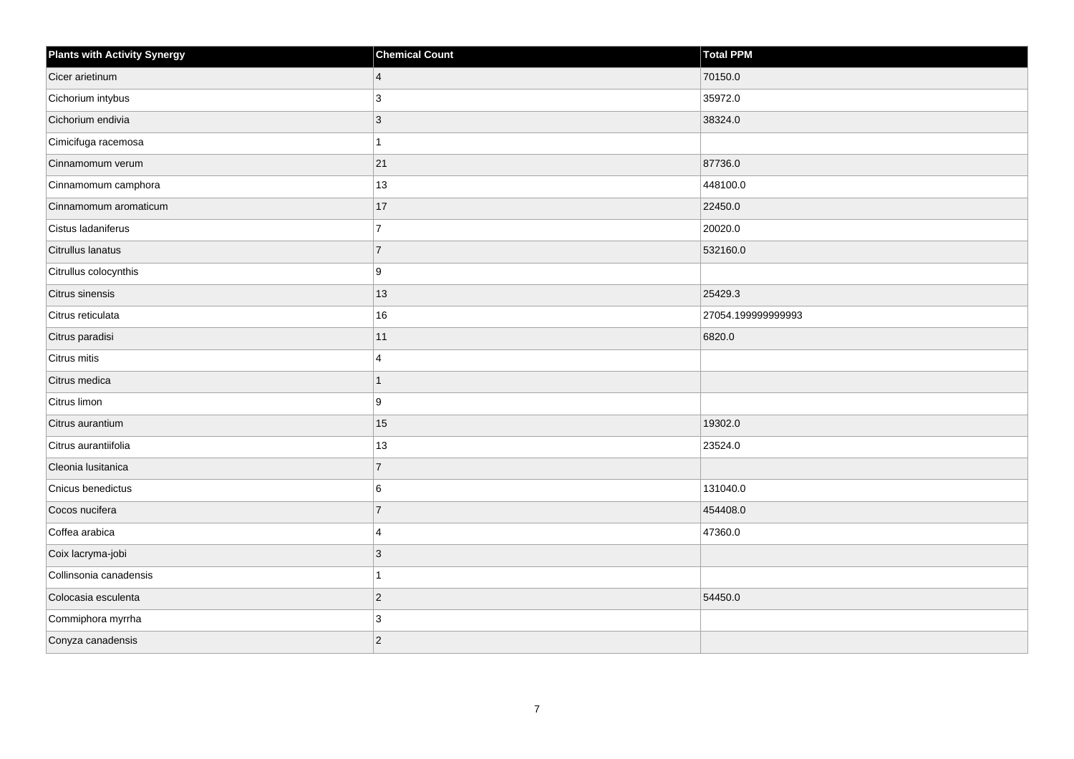| <b>Plants with Activity Synergy</b> | <b>Chemical Count</b> | Total PPM          |
|-------------------------------------|-----------------------|--------------------|
| Cicer arietinum                     | $\overline{4}$        | 70150.0            |
| Cichorium intybus                   | 3                     | 35972.0            |
| Cichorium endivia                   | 3                     | 38324.0            |
| Cimicifuga racemosa                 | 1                     |                    |
| Cinnamomum verum                    | 21                    | 87736.0            |
| Cinnamomum camphora                 | 13                    | 448100.0           |
| Cinnamomum aromaticum               | 17                    | 22450.0            |
| Cistus ladaniferus                  | $\overline{7}$        | 20020.0            |
| Citrullus lanatus                   | $\overline{7}$        | 532160.0           |
| Citrullus colocynthis               | 9                     |                    |
| Citrus sinensis                     | 13                    | 25429.3            |
| Citrus reticulata                   | $16\,$                | 27054.199999999993 |
| Citrus paradisi                     | 11                    | 6820.0             |
| Citrus mitis                        | 4                     |                    |
| Citrus medica                       | 1                     |                    |
| Citrus limon                        | 9                     |                    |
| Citrus aurantium                    | 15                    | 19302.0            |
| Citrus aurantiifolia                | 13                    | 23524.0            |
| Cleonia lusitanica                  | $\overline{7}$        |                    |
| Cnicus benedictus                   | 6                     | 131040.0           |
| Cocos nucifera                      | $\overline{7}$        | 454408.0           |
| Coffea arabica                      | 4                     | 47360.0            |
| Coix lacryma-jobi                   | 3                     |                    |
| Collinsonia canadensis              | 1                     |                    |
| Colocasia esculenta                 | $\overline{c}$        | 54450.0            |
| Commiphora myrrha                   | 3                     |                    |
| Conyza canadensis                   | $\overline{2}$        |                    |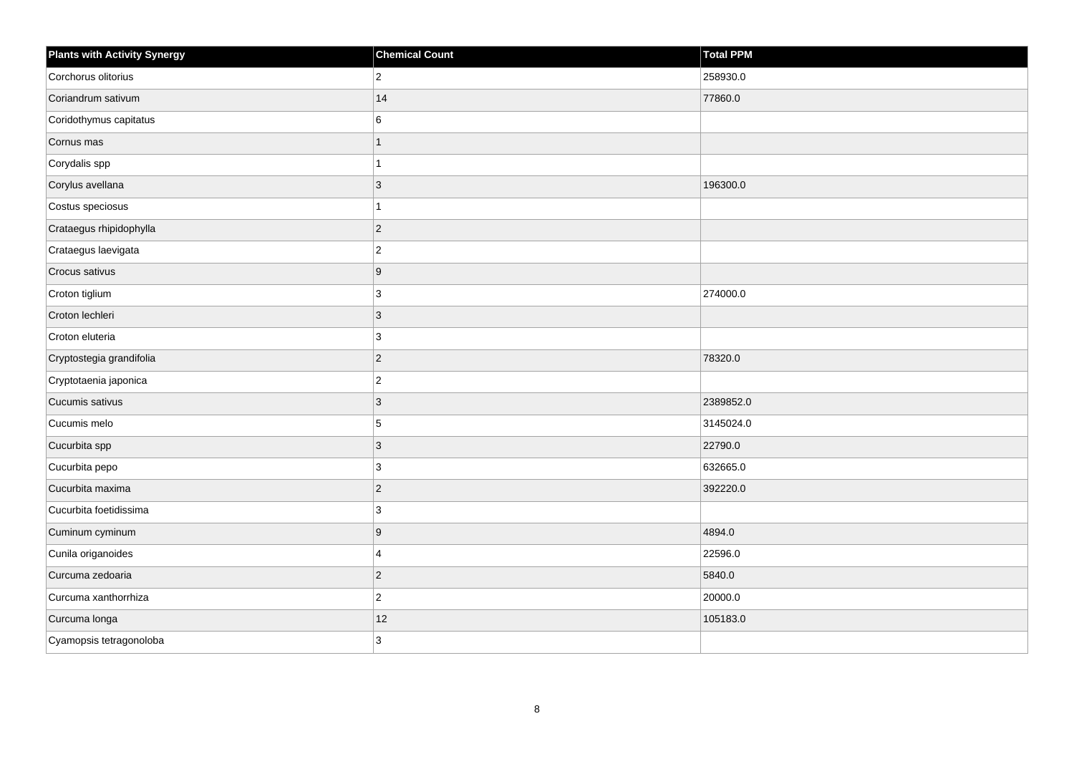| <b>Plants with Activity Synergy</b> | <b>Chemical Count</b> | <b>Total PPM</b> |
|-------------------------------------|-----------------------|------------------|
| Corchorus olitorius                 | $\overline{2}$        | 258930.0         |
| Coriandrum sativum                  | 14                    | 77860.0          |
| Coridothymus capitatus              | 6                     |                  |
| Cornus mas                          | 1                     |                  |
| Corydalis spp                       |                       |                  |
| Corylus avellana                    | 3                     | 196300.0         |
| Costus speciosus                    |                       |                  |
| Crataegus rhipidophylla             | $\overline{2}$        |                  |
| Crataegus laevigata                 | $\overline{c}$        |                  |
| Crocus sativus                      | $\boldsymbol{9}$      |                  |
| Croton tiglium                      | 3                     | 274000.0         |
| Croton lechleri                     | 3                     |                  |
| Croton eluteria                     | 3                     |                  |
| Cryptostegia grandifolia            | $\overline{2}$        | 78320.0          |
| Cryptotaenia japonica               | $\overline{c}$        |                  |
| Cucumis sativus                     | 3                     | 2389852.0        |
| Cucumis melo                        | 5                     | 3145024.0        |
| Cucurbita spp                       | 3                     | 22790.0          |
| Cucurbita pepo                      | $\mathbf{3}$          | 632665.0         |
| Cucurbita maxima                    | $\overline{a}$        | 392220.0         |
| Cucurbita foetidissima              | 3                     |                  |
| Cuminum cyminum                     | 9                     | 4894.0           |
| Cunila origanoides                  | 4                     | 22596.0          |
| Curcuma zedoaria                    | $\overline{2}$        | 5840.0           |
| Curcuma xanthorrhiza                | $\overline{a}$        | 20000.0          |
| Curcuma longa                       | 12                    | 105183.0         |
| Cyamopsis tetragonoloba             | 3                     |                  |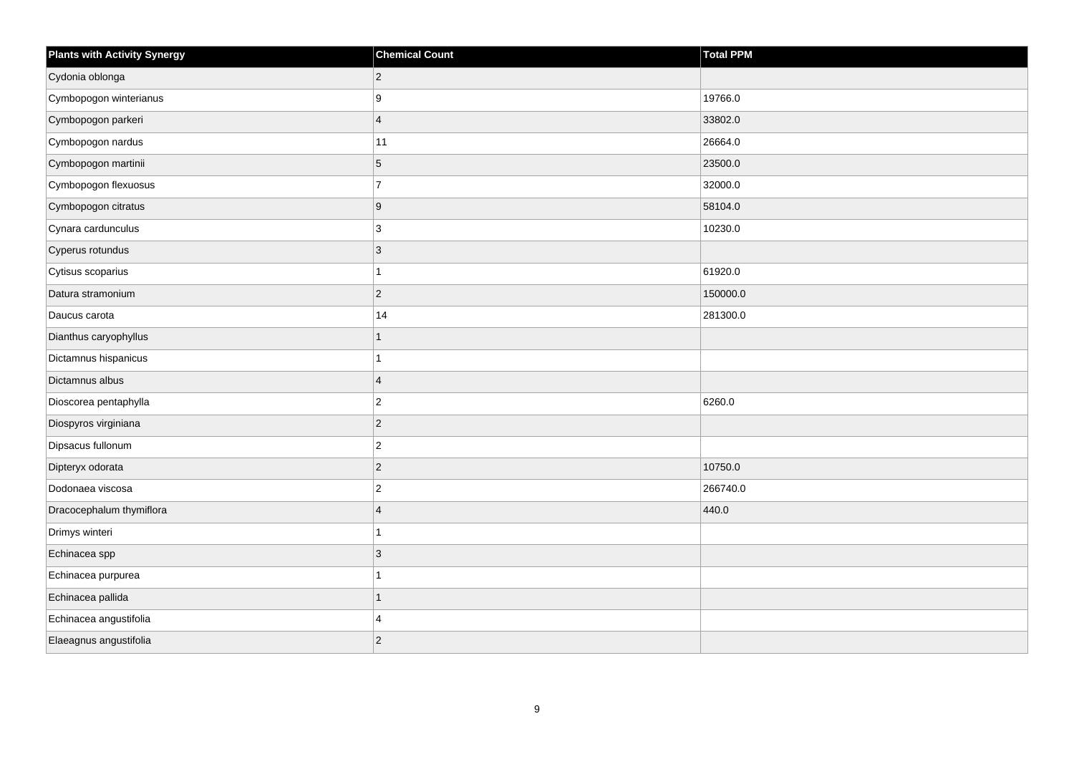| <b>Plants with Activity Synergy</b> | <b>Chemical Count</b> | <b>Total PPM</b> |
|-------------------------------------|-----------------------|------------------|
| Cydonia oblonga                     | $\overline{2}$        |                  |
| Cymbopogon winterianus              | 9                     | 19766.0          |
| Cymbopogon parkeri                  | $\overline{4}$        | 33802.0          |
| Cymbopogon nardus                   | 11                    | 26664.0          |
| Cymbopogon martinii                 | 5                     | 23500.0          |
| Cymbopogon flexuosus                | $\overline{7}$        | 32000.0          |
| Cymbopogon citratus                 | $\boldsymbol{9}$      | 58104.0          |
| Cynara cardunculus                  | 3                     | 10230.0          |
| Cyperus rotundus                    | $\mathbf{3}$          |                  |
| Cytisus scoparius                   | $\mathbf{1}$          | 61920.0          |
| Datura stramonium                   | $\mathbf 2$           | 150000.0         |
| Daucus carota                       | 14                    | 281300.0         |
| Dianthus caryophyllus               | $\mathbf{1}$          |                  |
| Dictamnus hispanicus                | 1                     |                  |
| Dictamnus albus                     | $\overline{4}$        |                  |
| Dioscorea pentaphylla               | $\vert$ 2             | 6260.0           |
| Diospyros virginiana                | $\mathbf 2$           |                  |
| Dipsacus fullonum                   | $\overline{c}$        |                  |
| Dipteryx odorata                    | $\vert$ 2             | 10750.0          |
| Dodonaea viscosa                    | $\mathbf 2$           | 266740.0         |
| Dracocephalum thymiflora            | $\overline{4}$        | 440.0            |
| Drimys winteri                      | $\mathbf{1}$          |                  |
| Echinacea spp                       | $\mathbf{3}$          |                  |
| Echinacea purpurea                  | $\overline{1}$        |                  |
| Echinacea pallida                   | $\mathbf{1}$          |                  |
| Echinacea angustifolia              | 4                     |                  |
| Elaeagnus angustifolia              | $\overline{c}$        |                  |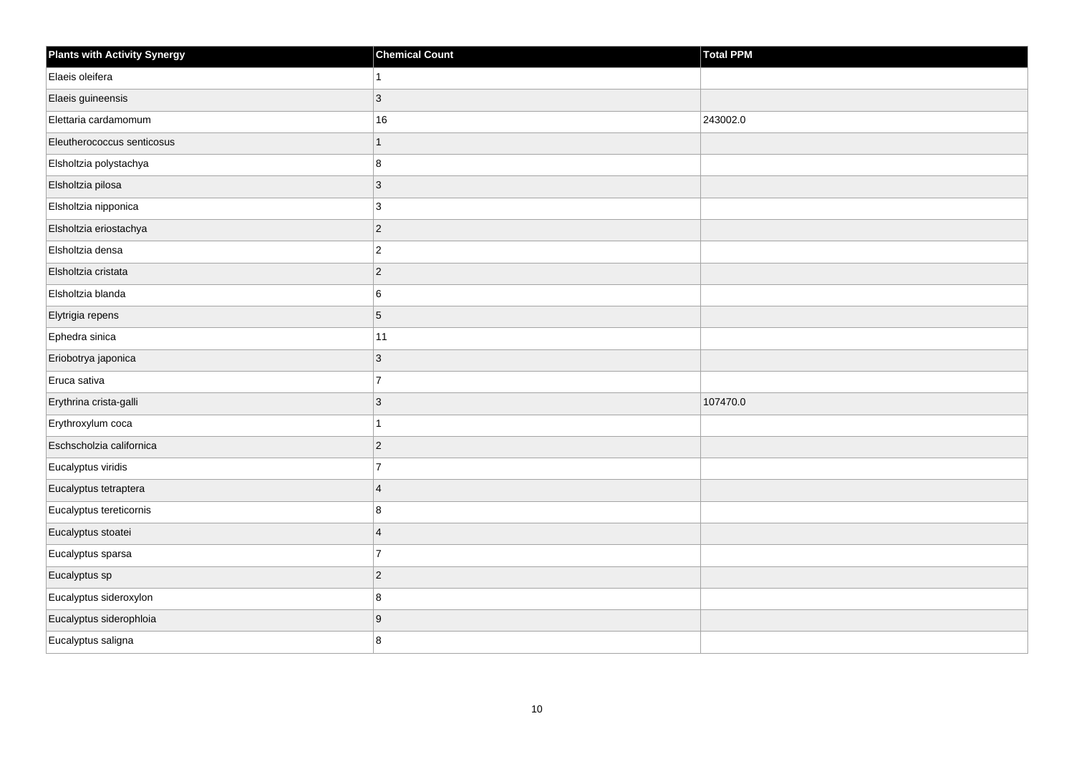| <b>Plants with Activity Synergy</b> | <b>Chemical Count</b> | <b>Total PPM</b> |
|-------------------------------------|-----------------------|------------------|
| Elaeis oleifera                     |                       |                  |
| Elaeis guineensis                   | 3                     |                  |
| Elettaria cardamomum                | $16\,$                | 243002.0         |
| Eleutherococcus senticosus          | $\overline{1}$        |                  |
| Elsholtzia polystachya              | 8                     |                  |
| Elsholtzia pilosa                   | $\overline{3}$        |                  |
| Elsholtzia nipponica                | $\mathbf{3}$          |                  |
| Elsholtzia eriostachya              | $\overline{2}$        |                  |
| Elsholtzia densa                    | $\overline{c}$        |                  |
| Elsholtzia cristata                 | $\overline{2}$        |                  |
| Elsholtzia blanda                   | 6                     |                  |
| Elytrigia repens                    | 5                     |                  |
| Ephedra sinica                      | 11                    |                  |
| Eriobotrya japonica                 | 3                     |                  |
| Eruca sativa                        | $\overline{7}$        |                  |
| Erythrina crista-galli              | $\overline{3}$        | 107470.0         |
| Erythroxylum coca                   |                       |                  |
| Eschscholzia californica            | $\overline{2}$        |                  |
| Eucalyptus viridis                  | $\overline{7}$        |                  |
| Eucalyptus tetraptera               | $\overline{4}$        |                  |
| Eucalyptus tereticornis             | 8                     |                  |
| Eucalyptus stoatei                  | $\overline{4}$        |                  |
| Eucalyptus sparsa                   | $\overline{7}$        |                  |
| Eucalyptus sp                       | $\overline{2}$        |                  |
| Eucalyptus sideroxylon              | 8                     |                  |
| Eucalyptus siderophloia             | 9                     |                  |
| Eucalyptus saligna                  | 8                     |                  |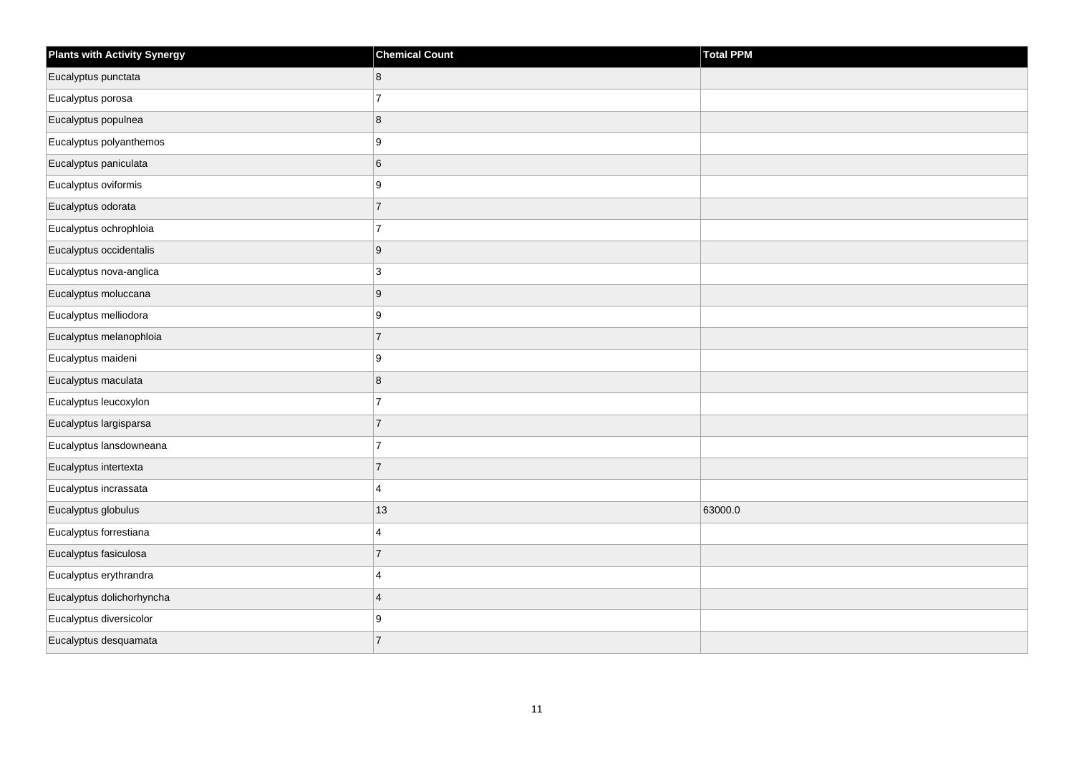| <b>Plants with Activity Synergy</b> | <b>Chemical Count</b> | Total PPM |
|-------------------------------------|-----------------------|-----------|
| Eucalyptus punctata                 | 8                     |           |
| Eucalyptus porosa                   | $\overline{7}$        |           |
| Eucalyptus populnea                 | $\bf 8$               |           |
| Eucalyptus polyanthemos             | 9                     |           |
| Eucalyptus paniculata               | $\,6\,$               |           |
| Eucalyptus oviformis                | 9                     |           |
| Eucalyptus odorata                  | $\overline{7}$        |           |
| Eucalyptus ochrophloia              | $\overline{7}$        |           |
| Eucalyptus occidentalis             | $\boldsymbol{9}$      |           |
| Eucalyptus nova-anglica             | 3                     |           |
| Eucalyptus moluccana                | $\boldsymbol{9}$      |           |
| Eucalyptus melliodora               | 9                     |           |
| Eucalyptus melanophloia             | $\overline{7}$        |           |
| Eucalyptus maideni                  | 9                     |           |
| Eucalyptus maculata                 | $\bf 8$               |           |
| Eucalyptus leucoxylon               | $\overline{7}$        |           |
| Eucalyptus largisparsa              | $\overline{7}$        |           |
| Eucalyptus lansdowneana             | $\overline{7}$        |           |
| Eucalyptus intertexta               | $\overline{7}$        |           |
| Eucalyptus incrassata               | $\overline{4}$        |           |
| Eucalyptus globulus                 | 13                    | 63000.0   |
| Eucalyptus forrestiana              | $\overline{4}$        |           |
| Eucalyptus fasiculosa               | $\overline{7}$        |           |
| Eucalyptus erythrandra              | $\overline{4}$        |           |
| Eucalyptus dolichorhyncha           | $\overline{4}$        |           |
| Eucalyptus diversicolor             | 9                     |           |
| Eucalyptus desquamata               | $\overline{7}$        |           |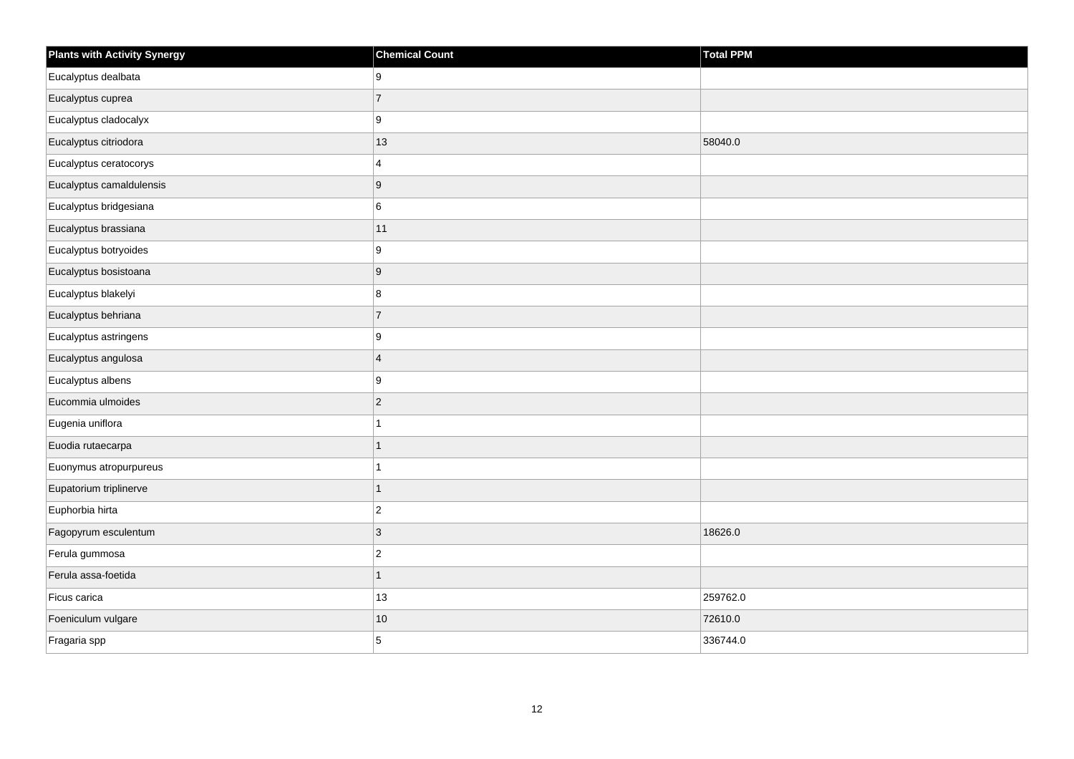| <b>Plants with Activity Synergy</b> | <b>Chemical Count</b> | Total PPM |
|-------------------------------------|-----------------------|-----------|
| Eucalyptus dealbata                 | 9                     |           |
| Eucalyptus cuprea                   | $\overline{7}$        |           |
| Eucalyptus cladocalyx               | 9                     |           |
| Eucalyptus citriodora               | 13                    | 58040.0   |
| Eucalyptus ceratocorys              | $\overline{4}$        |           |
| Eucalyptus camaldulensis            | $\boldsymbol{9}$      |           |
| Eucalyptus bridgesiana              | 6                     |           |
| Eucalyptus brassiana                | 11                    |           |
| Eucalyptus botryoides               | 9                     |           |
| Eucalyptus bosistoana               | $\boldsymbol{9}$      |           |
| Eucalyptus blakelyi                 | 8                     |           |
| Eucalyptus behriana                 | $\overline{7}$        |           |
| Eucalyptus astringens               | 9                     |           |
| Eucalyptus angulosa                 | $\overline{4}$        |           |
| Eucalyptus albens                   | 9                     |           |
| Eucommia ulmoides                   | $\mathbf 2$           |           |
| Eugenia uniflora                    | $\mathbf{1}$          |           |
| Euodia rutaecarpa                   | $\mathbf{1}$          |           |
| Euonymus atropurpureus              | $\mathbf{1}$          |           |
| Eupatorium triplinerve              | $\mathbf{1}$          |           |
| Euphorbia hirta                     | $\overline{2}$        |           |
| Fagopyrum esculentum                | $\mathbf{3}$          | 18626.0   |
| Ferula gummosa                      | $\mathbf 2$           |           |
| Ferula assa-foetida                 | $\mathbf{1}$          |           |
| Ficus carica                        | 13                    | 259762.0  |
| Foeniculum vulgare                  | 10                    | 72610.0   |
| Fragaria spp                        | 5                     | 336744.0  |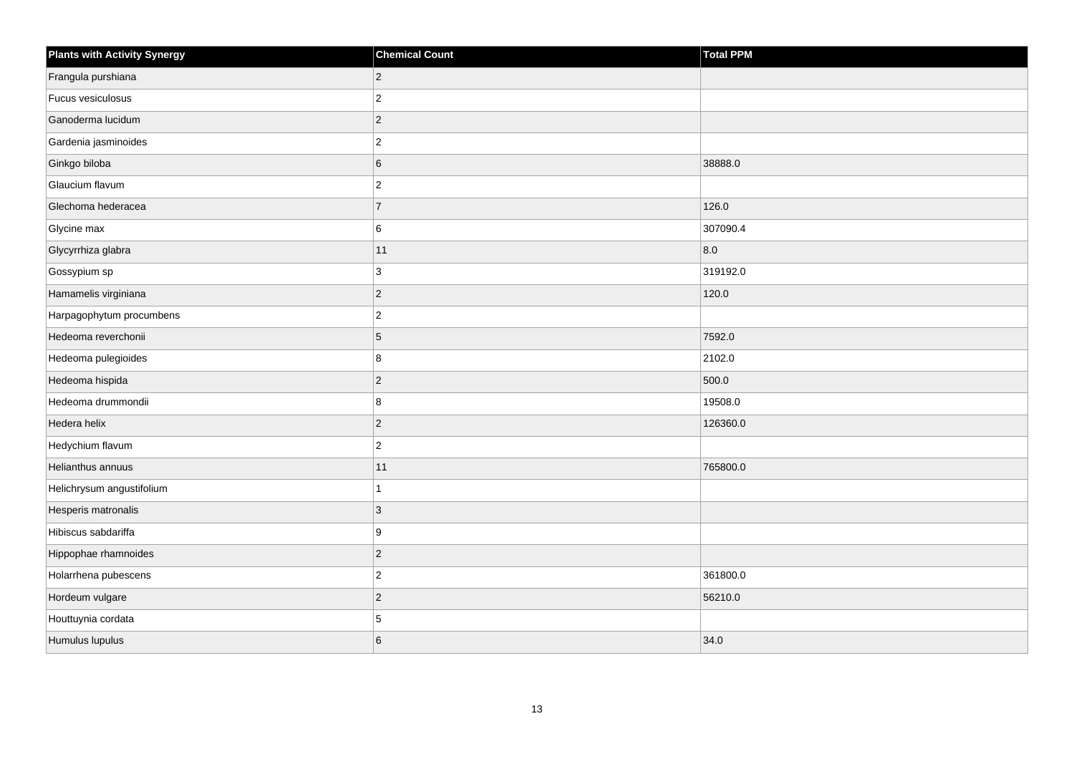| <b>Plants with Activity Synergy</b> | <b>Chemical Count</b> | <b>Total PPM</b> |
|-------------------------------------|-----------------------|------------------|
| Frangula purshiana                  | $\overline{2}$        |                  |
| Fucus vesiculosus                   | $\overline{2}$        |                  |
| Ganoderma lucidum                   | $\overline{2}$        |                  |
| Gardenia jasminoides                | $\overline{2}$        |                  |
| Ginkgo biloba                       | 6                     | 38888.0          |
| Glaucium flavum                     | $\overline{c}$        |                  |
| Glechoma hederacea                  | $\overline{7}$        | 126.0            |
| Glycine max                         | 6                     | 307090.4         |
| Glycyrrhiza glabra                  | 11                    | 8.0              |
| Gossypium sp                        | 3                     | 319192.0         |
| Hamamelis virginiana                | $\overline{2}$        | 120.0            |
| Harpagophytum procumbens            | $\overline{c}$        |                  |
| Hedeoma reverchonii                 | 5                     | 7592.0           |
| Hedeoma pulegioides                 | 8                     | 2102.0           |
| Hedeoma hispida                     | $\overline{c}$        | 500.0            |
| Hedeoma drummondii                  | 8                     | 19508.0          |
| Hedera helix                        | $\overline{2}$        | 126360.0         |
| Hedychium flavum                    | $\overline{c}$        |                  |
| Helianthus annuus                   | 11                    | 765800.0         |
| Helichrysum angustifolium           |                       |                  |
| Hesperis matronalis                 | 3                     |                  |
| Hibiscus sabdariffa                 | $\boldsymbol{9}$      |                  |
| Hippophae rhamnoides                | $\overline{a}$        |                  |
| Holarrhena pubescens                | $\overline{c}$        | 361800.0         |
| Hordeum vulgare                     | $\overline{2}$        | 56210.0          |
| Houttuynia cordata                  | 5                     |                  |
| Humulus lupulus                     | 6                     | 34.0             |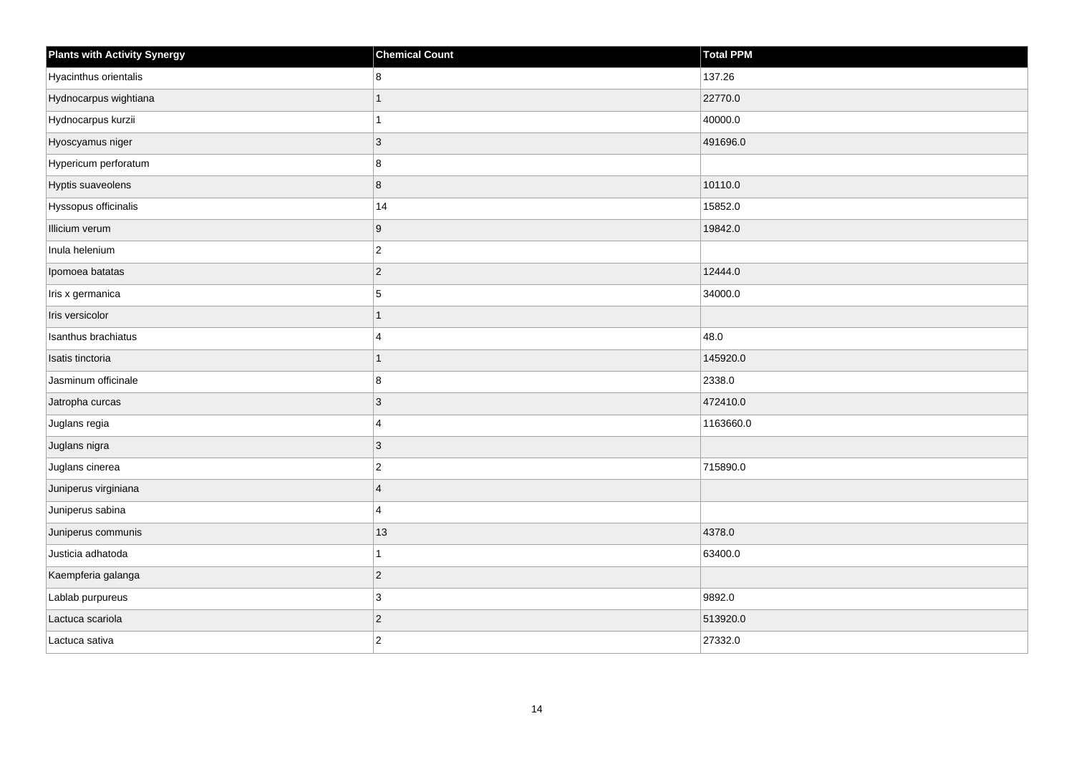| <b>Plants with Activity Synergy</b> | <b>Chemical Count</b> | Total PPM |
|-------------------------------------|-----------------------|-----------|
| Hyacinthus orientalis               | 8                     | 137.26    |
| Hydnocarpus wightiana               | 1                     | 22770.0   |
| Hydnocarpus kurzii                  | 1                     | 40000.0   |
| Hyoscyamus niger                    | $ 3\rangle$           | 491696.0  |
| Hypericum perforatum                | 8                     |           |
| Hyptis suaveolens                   | 8                     | 10110.0   |
| Hyssopus officinalis                | 14                    | 15852.0   |
| Illicium verum                      | 9                     | 19842.0   |
| Inula helenium                      | $ 2\rangle$           |           |
| Ipomoea batatas                     | $ 2\rangle$           | 12444.0   |
| Iris x germanica                    | 5                     | 34000.0   |
| Iris versicolor                     | 1                     |           |
| Isanthus brachiatus                 | $\overline{4}$        | 48.0      |
| Isatis tinctoria                    | 1                     | 145920.0  |
| Jasminum officinale                 | 8                     | 2338.0    |
| Jatropha curcas                     | $ 3\rangle$           | 472410.0  |
| Juglans regia                       | 4                     | 1163660.0 |
| Juglans nigra                       | 3                     |           |
| Juglans cinerea                     | $ 2\rangle$           | 715890.0  |
| Juniperus virginiana                | $\overline{4}$        |           |
| Juniperus sabina                    | 4                     |           |
| Juniperus communis                  | 13                    | 4378.0    |
| Justicia adhatoda                   | 1                     | 63400.0   |
| Kaempferia galanga                  | $ 2\rangle$           |           |
| Lablab purpureus                    | 3                     | 9892.0    |
| Lactuca scariola                    | $\overline{2}$        | 513920.0  |
| Lactuca sativa                      | $ 2\rangle$           | 27332.0   |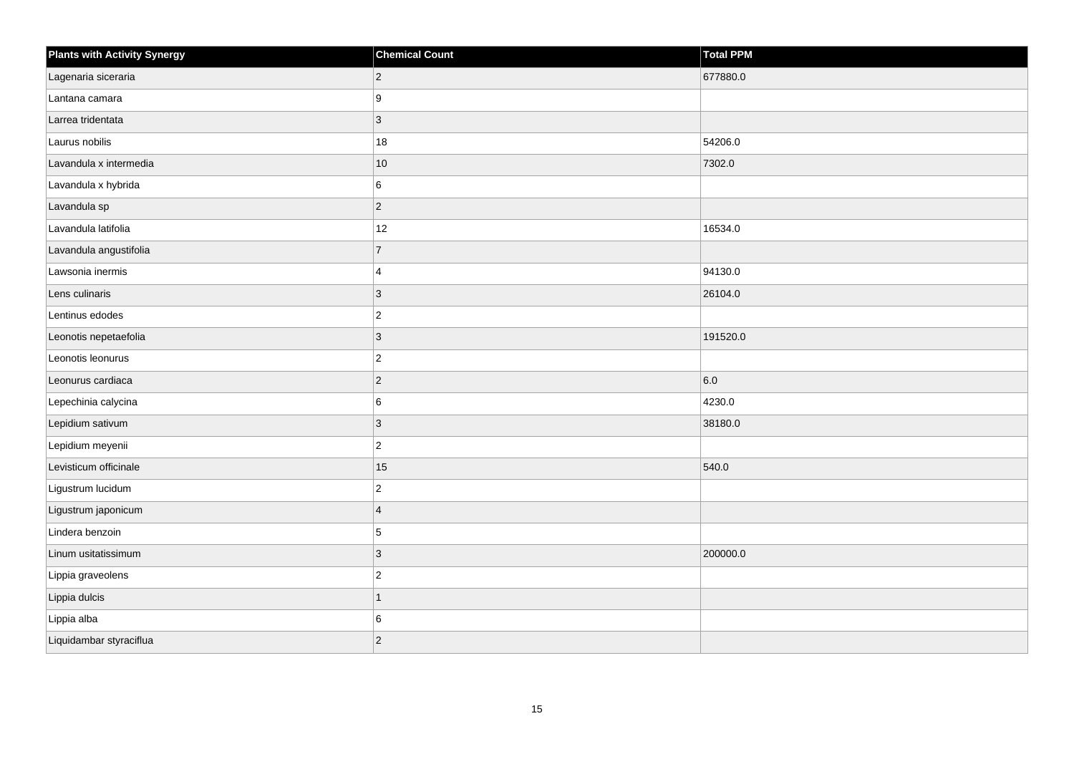| <b>Plants with Activity Synergy</b> | <b>Chemical Count</b> | Total PPM |
|-------------------------------------|-----------------------|-----------|
| Lagenaria siceraria                 | $ 2\rangle$           | 677880.0  |
| Lantana camara                      | 9                     |           |
| Larrea tridentata                   | $ 3\rangle$           |           |
| Laurus nobilis                      | 18                    | 54206.0   |
| Lavandula x intermedia              | $10$                  | 7302.0    |
| Lavandula x hybrida                 | 6                     |           |
| Lavandula sp                        | $ 2\rangle$           |           |
| Lavandula latifolia                 | 12                    | 16534.0   |
| Lavandula angustifolia              | 7                     |           |
| Lawsonia inermis                    | $\overline{4}$        | 94130.0   |
| Lens culinaris                      | 3                     | 26104.0   |
| Lentinus edodes                     | $ 2\rangle$           |           |
| Leonotis nepetaefolia               | $ 3\rangle$           | 191520.0  |
| Leonotis leonurus                   | $ 2\rangle$           |           |
| Leonurus cardiaca                   | $ 2\rangle$           | 6.0       |
| Lepechinia calycina                 | 6                     | 4230.0    |
| Lepidium sativum                    | 3                     | 38180.0   |
| Lepidium meyenii                    | $ 2\rangle$           |           |
| Levisticum officinale               | 15                    | 540.0     |
| Ligustrum lucidum                   | $\mathbf 2$           |           |
| Ligustrum japonicum                 | $\overline{4}$        |           |
| Lindera benzoin                     | 5                     |           |
| Linum usitatissimum                 | 3                     | 200000.0  |
| Lippia graveolens                   | $\vert$ 2             |           |
| Lippia dulcis                       | $\mathbf{1}$          |           |
| Lippia alba                         | 6                     |           |
| Liquidambar styraciflua             | $\vert$ 2             |           |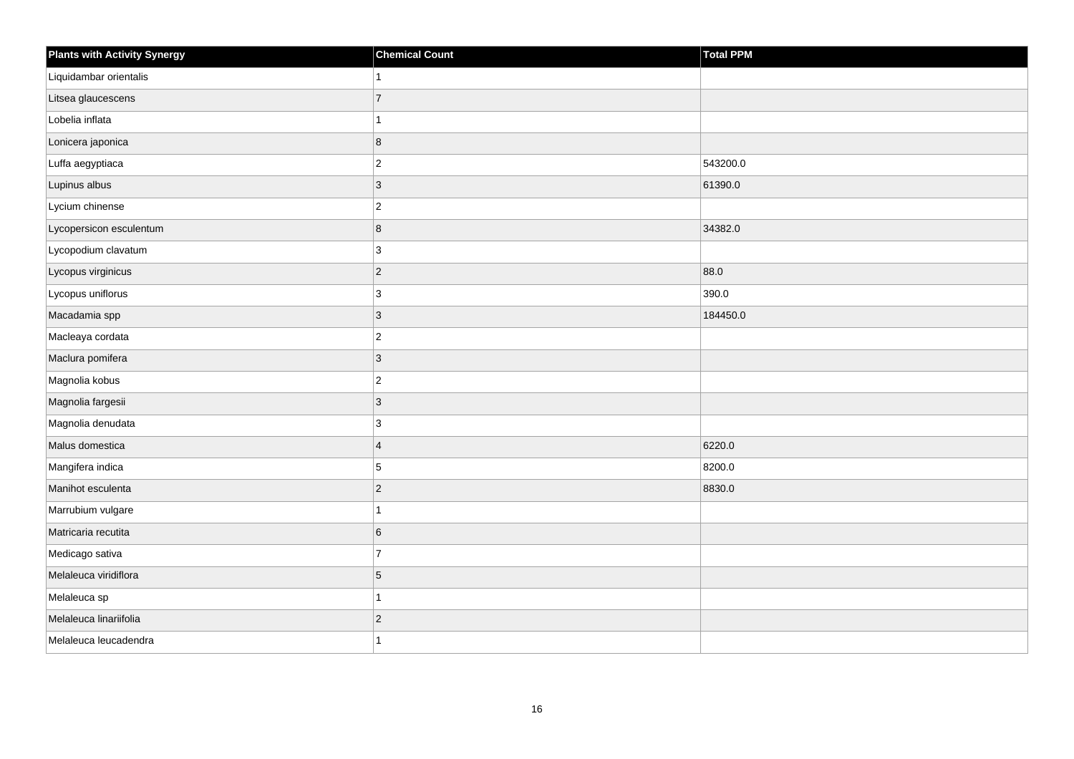| <b>Plants with Activity Synergy</b> | <b>Chemical Count</b> | Total PPM |
|-------------------------------------|-----------------------|-----------|
| Liquidambar orientalis              | 1                     |           |
| Litsea glaucescens                  | $\overline{7}$        |           |
| Lobelia inflata                     | 1                     |           |
| Lonicera japonica                   | 8                     |           |
| Luffa aegyptiaca                    | $ 2\rangle$           | 543200.0  |
| Lupinus albus                       | $ 3\rangle$           | 61390.0   |
| Lycium chinense                     | $\vert$ 2             |           |
| Lycopersicon esculentum             | $\overline{8}$        | 34382.0   |
| Lycopodium clavatum                 | 3                     |           |
| Lycopus virginicus                  | $ 2\rangle$           | 88.0      |
| Lycopus uniflorus                   | 3                     | 390.0     |
| Macadamia spp                       | $ 3\rangle$           | 184450.0  |
| Macleaya cordata                    | $\vert$ 2             |           |
| Maclura pomifera                    | 3                     |           |
| Magnolia kobus                      | $ 2\rangle$           |           |
| Magnolia fargesii                   | $ 3\rangle$           |           |
| Magnolia denudata                   | 3                     |           |
| Malus domestica                     | $\vert 4 \vert$       | 6220.0    |
| Mangifera indica                    | 5                     | 8200.0    |
| Manihot esculenta                   | $ 2\rangle$           | 8830.0    |
| Marrubium vulgare                   | 1                     |           |
| Matricaria recutita                 | 6                     |           |
| Medicago sativa                     | $\overline{7}$        |           |
| Melaleuca viridiflora               | 5                     |           |
| Melaleuca sp                        | $\mathbf{1}$          |           |
| Melaleuca linariifolia              | $\vert$ 2             |           |
| Melaleuca leucadendra               | 1                     |           |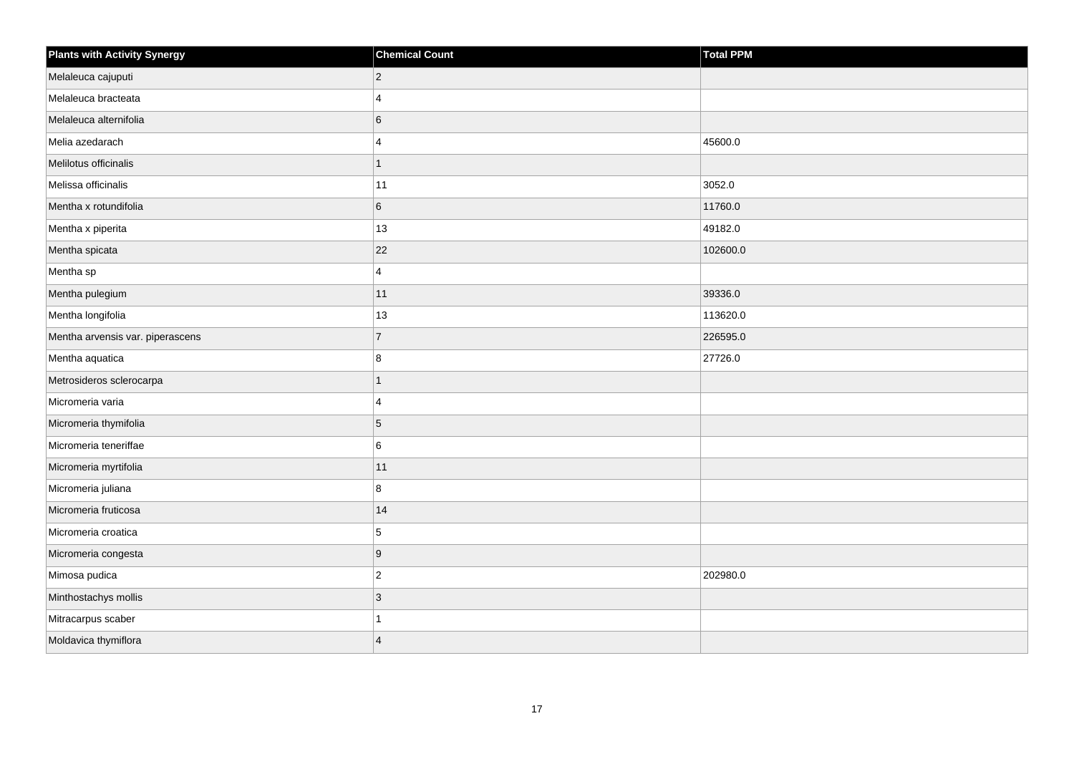| <b>Plants with Activity Synergy</b> | <b>Chemical Count</b> | <b>Total PPM</b> |
|-------------------------------------|-----------------------|------------------|
| Melaleuca cajuputi                  | $\overline{c}$        |                  |
| Melaleuca bracteata                 | $\Delta$              |                  |
| Melaleuca alternifolia              | 6                     |                  |
| Melia azedarach                     | 4                     | 45600.0          |
| Melilotus officinalis               | 1                     |                  |
| Melissa officinalis                 | 11                    | 3052.0           |
| Mentha x rotundifolia               | 6                     | 11760.0          |
| Mentha x piperita                   | 13                    | 49182.0          |
| Mentha spicata                      | 22                    | 102600.0         |
| Mentha sp                           | $\overline{4}$        |                  |
| Mentha pulegium                     | 11                    | 39336.0          |
| Mentha longifolia                   | 13                    | 113620.0         |
| Mentha arvensis var. piperascens    | $\overline{7}$        | 226595.0         |
| Mentha aquatica                     | 8                     | 27726.0          |
| Metrosideros sclerocarpa            | $\overline{1}$        |                  |
| Micromeria varia                    | 4                     |                  |
| Micromeria thymifolia               | 5                     |                  |
| Micromeria teneriffae               | 6                     |                  |
| Micromeria myrtifolia               | 11                    |                  |
| Micromeria juliana                  | 8                     |                  |
| Micromeria fruticosa                | 14                    |                  |
| Micromeria croatica                 | 5                     |                  |
| Micromeria congesta                 | 9                     |                  |
| Mimosa pudica                       | $\boldsymbol{2}$      | 202980.0         |
| Minthostachys mollis                | 3                     |                  |
| Mitracarpus scaber                  |                       |                  |
| Moldavica thymiflora                | $\overline{A}$        |                  |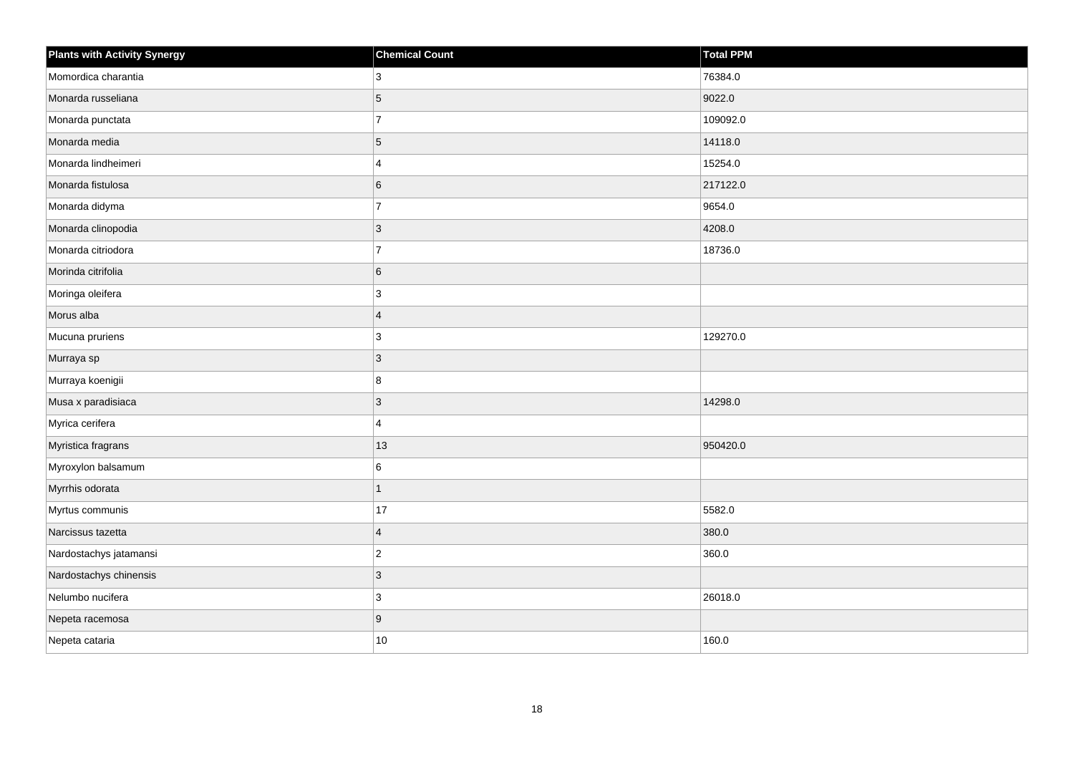| <b>Plants with Activity Synergy</b> | <b>Chemical Count</b> | Total PPM |
|-------------------------------------|-----------------------|-----------|
| Momordica charantia                 | 3                     | 76384.0   |
| Monarda russeliana                  | $\sqrt{5}$            | 9022.0    |
| Monarda punctata                    | $\overline{7}$        | 109092.0  |
| Monarda media                       | $\overline{5}$        | 14118.0   |
| Monarda lindheimeri                 | $\overline{4}$        | 15254.0   |
| Monarda fistulosa                   | $\,6$                 | 217122.0  |
| Monarda didyma                      | $\overline{7}$        | 9654.0    |
| Monarda clinopodia                  | $\mathbf{3}$          | 4208.0    |
| Monarda citriodora                  | $\overline{7}$        | 18736.0   |
| Morinda citrifolia                  | $\,6$                 |           |
| Moringa oleifera                    | $\mathbf{3}$          |           |
| Morus alba                          | $\overline{4}$        |           |
| Mucuna pruriens                     | 3                     | 129270.0  |
| Murraya sp                          | $\mathbf{3}$          |           |
| Murraya koenigii                    | 8                     |           |
| Musa x paradisiaca                  | $\mathbf{3}$          | 14298.0   |
| Myrica cerifera                     | $\overline{4}$        |           |
| Myristica fragrans                  | 13                    | 950420.0  |
| Myroxylon balsamum                  | 6                     |           |
| Myrrhis odorata                     | $\mathbf{1}$          |           |
| Myrtus communis                     | 17                    | 5582.0    |
| Narcissus tazetta                   | $\overline{4}$        | 380.0     |
| Nardostachys jatamansi              | $\mathbf 2$           | 360.0     |
| Nardostachys chinensis              | 3                     |           |
| Nelumbo nucifera                    | $\mathbf{3}$          | 26018.0   |
| Nepeta racemosa                     | $\boldsymbol{9}$      |           |
| Nepeta cataria                      | 10                    | 160.0     |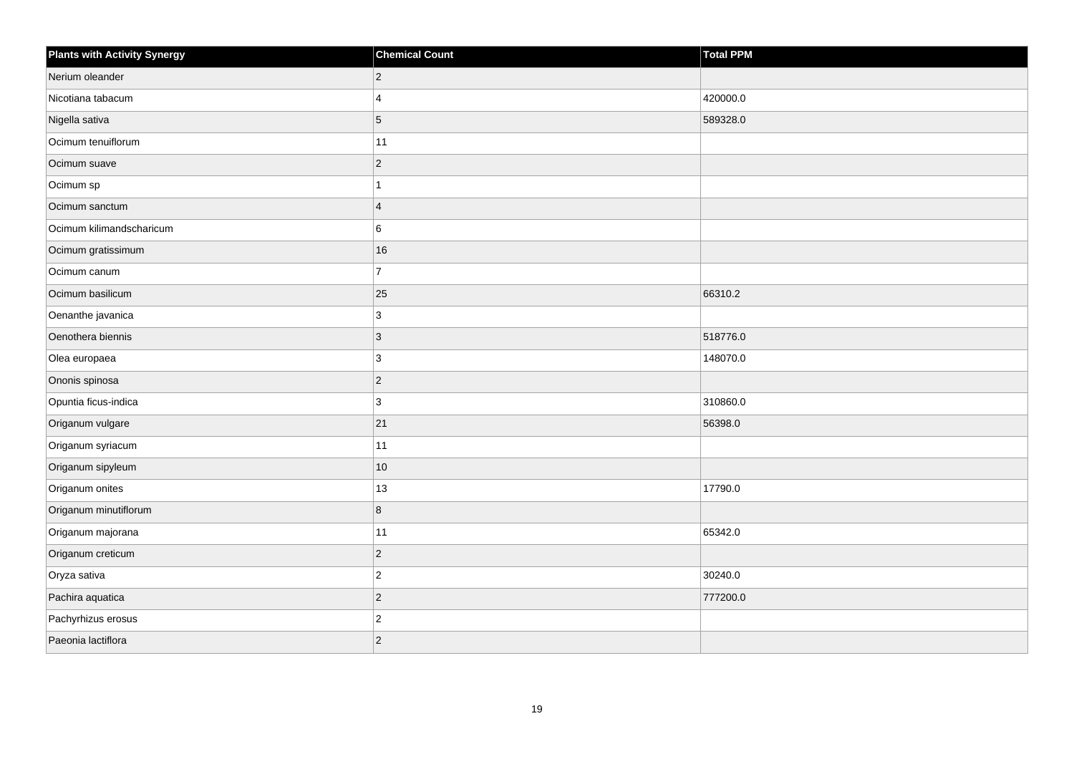| <b>Plants with Activity Synergy</b> | <b>Chemical Count</b> | <b>Total PPM</b> |
|-------------------------------------|-----------------------|------------------|
| Nerium oleander                     | $\overline{2}$        |                  |
| Nicotiana tabacum                   | $\boldsymbol{\Delta}$ | 420000.0         |
| Nigella sativa                      | 5                     | 589328.0         |
| Ocimum tenuiflorum                  | 11                    |                  |
| Ocimum suave                        | $\overline{2}$        |                  |
| Ocimum sp                           |                       |                  |
| Ocimum sanctum                      | $\overline{4}$        |                  |
| Ocimum kilimandscharicum            | 6                     |                  |
| Ocimum gratissimum                  | 16                    |                  |
| Ocimum canum                        | $\overline{7}$        |                  |
| Ocimum basilicum                    | 25                    | 66310.2          |
| Oenanthe javanica                   | 3                     |                  |
| Oenothera biennis                   | 3                     | 518776.0         |
| Olea europaea                       | 3                     | 148070.0         |
| Ononis spinosa                      | $\overline{c}$        |                  |
| Opuntia ficus-indica                | 3                     | 310860.0         |
| Origanum vulgare                    | 21                    | 56398.0          |
| Origanum syriacum                   | 11                    |                  |
| Origanum sipyleum                   | 10                    |                  |
| Origanum onites                     | 13                    | 17790.0          |
| Origanum minutiflorum               | 8                     |                  |
| Origanum majorana                   | 11                    | 65342.0          |
| Origanum creticum                   | $\overline{2}$        |                  |
| Oryza sativa                        | $\overline{c}$        | 30240.0          |
| Pachira aquatica                    | $\overline{2}$        | 777200.0         |
| Pachyrhizus erosus                  | $\overline{c}$        |                  |
| Paeonia lactiflora                  | $\overline{2}$        |                  |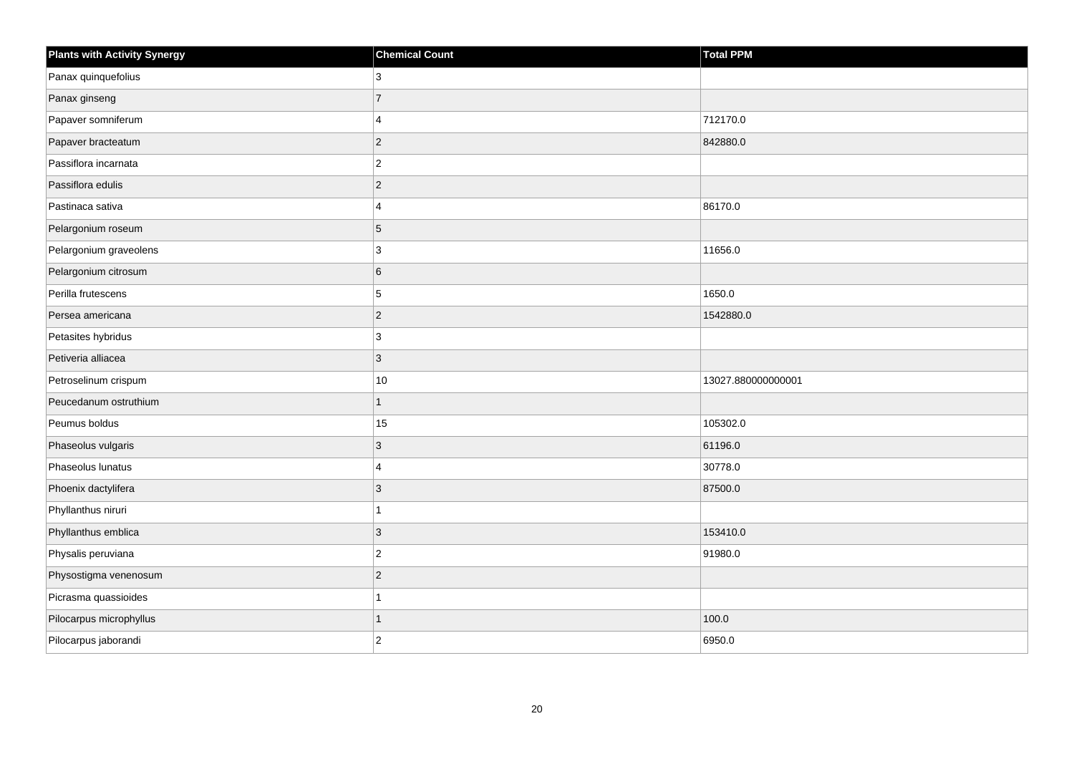| <b>Plants with Activity Synergy</b> | <b>Chemical Count</b> | Total PPM          |
|-------------------------------------|-----------------------|--------------------|
| Panax quinquefolius                 | 3                     |                    |
| Panax ginseng                       | $\overline{7}$        |                    |
| Papaver somniferum                  | $\overline{4}$        | 712170.0           |
| Papaver bracteatum                  | $\overline{c}$        | 842880.0           |
| Passiflora incarnata                | $\overline{2}$        |                    |
| Passiflora edulis                   | $\overline{2}$        |                    |
| Pastinaca sativa                    | $\overline{4}$        | 86170.0            |
| Pelargonium roseum                  | $\overline{5}$        |                    |
| Pelargonium graveolens              | $\mathbf{3}$          | 11656.0            |
| Pelargonium citrosum                | $\,6$                 |                    |
| Perilla frutescens                  | 5                     | 1650.0             |
| Persea americana                    | $\overline{c}$        | 1542880.0          |
| Petasites hybridus                  | $\overline{3}$        |                    |
| Petiveria alliacea                  | $\mathbf{3}$          |                    |
| Petroselinum crispum                | 10                    | 13027.880000000001 |
| Peucedanum ostruthium               | $\overline{1}$        |                    |
| Peumus boldus                       | 15                    | 105302.0           |
| Phaseolus vulgaris                  | $\overline{3}$        | 61196.0            |
| Phaseolus lunatus                   | $\overline{4}$        | 30778.0            |
| Phoenix dactylifera                 | $\mathbf{3}$          | 87500.0            |
| Phyllanthus niruri                  | $\mathbf{1}$          |                    |
| Phyllanthus emblica                 | $\sqrt{3}$            | 153410.0           |
| Physalis peruviana                  | $\boldsymbol{2}$      | 91980.0            |
| Physostigma venenosum               | $\overline{c}$        |                    |
| Picrasma quassioides                | $\overline{1}$        |                    |
| Pilocarpus microphyllus             | 1                     | 100.0              |
| Pilocarpus jaborandi                | $\overline{2}$        | 6950.0             |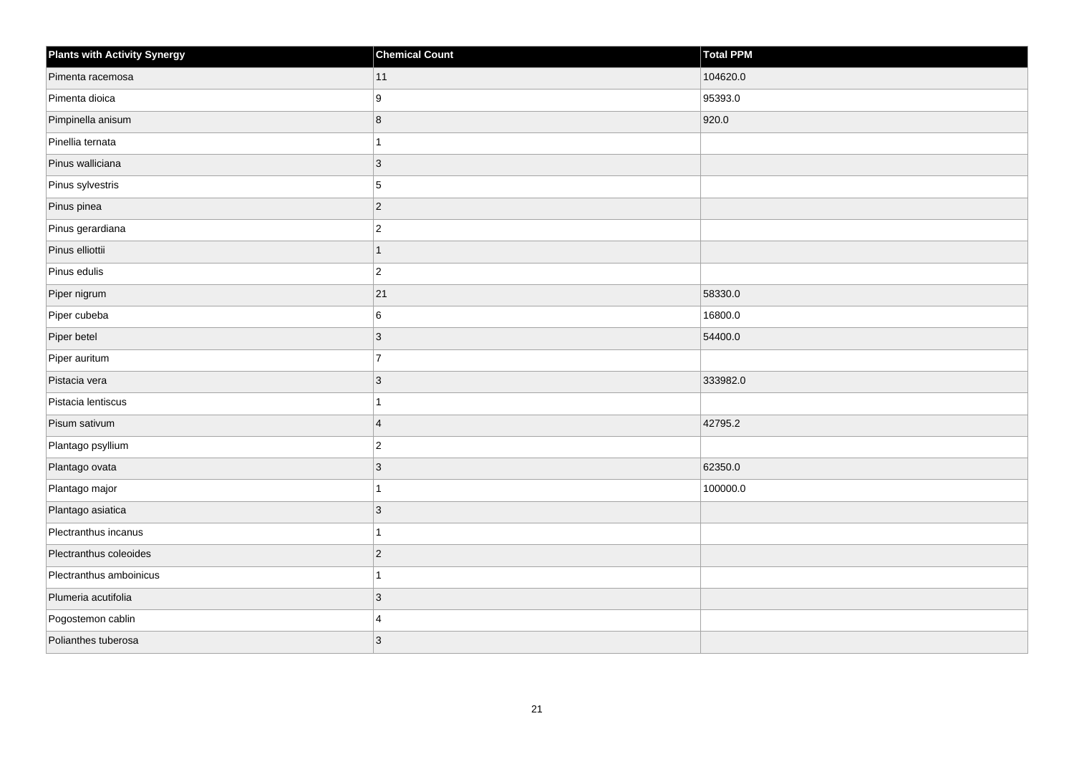| <b>Plants with Activity Synergy</b> | <b>Chemical Count</b> | Total PPM |
|-------------------------------------|-----------------------|-----------|
| Pimenta racemosa                    | 11                    | 104620.0  |
| Pimenta dioica                      | 9                     | 95393.0   |
| Pimpinella anisum                   | 8                     | 920.0     |
| Pinellia ternata                    |                       |           |
| Pinus walliciana                    | 3                     |           |
| Pinus sylvestris                    | 5                     |           |
| Pinus pinea                         | $\overline{2}$        |           |
| Pinus gerardiana                    | $\overline{2}$        |           |
| Pinus elliottii                     | $\overline{1}$        |           |
| Pinus edulis                        | $\overline{2}$        |           |
| Piper nigrum                        | 21                    | 58330.0   |
| Piper cubeba                        | 6                     | 16800.0   |
| Piper betel                         | $\overline{3}$        | 54400.0   |
| Piper auritum                       | $\overline{7}$        |           |
| Pistacia vera                       | $\overline{3}$        | 333982.0  |
| Pistacia lentiscus                  | 4                     |           |
| Pisum sativum                       | $\overline{4}$        | 42795.2   |
| Plantago psyllium                   | $\overline{c}$        |           |
| Plantago ovata                      | $\overline{3}$        | 62350.0   |
| Plantago major                      |                       | 100000.0  |
| Plantago asiatica                   | 3                     |           |
| Plectranthus incanus                | 1                     |           |
| Plectranthus coleoides              | $\overline{c}$        |           |
| Plectranthus amboinicus             |                       |           |
| Plumeria acutifolia                 | $\overline{3}$        |           |
| Pogostemon cablin                   | $\boldsymbol{\Delta}$ |           |
| Polianthes tuberosa                 | 3                     |           |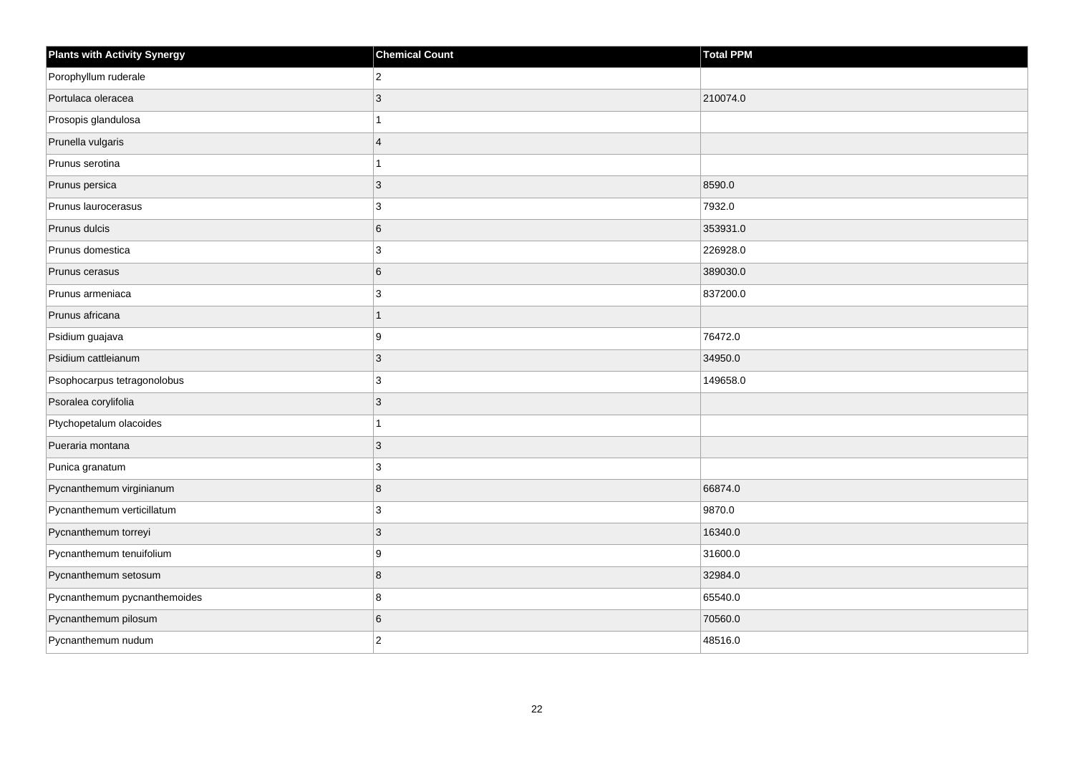| <b>Plants with Activity Synergy</b> | <b>Chemical Count</b> | <b>Total PPM</b> |
|-------------------------------------|-----------------------|------------------|
| Porophyllum ruderale                | $\overline{2}$        |                  |
| Portulaca oleracea                  | 3                     | 210074.0         |
| Prosopis glandulosa                 |                       |                  |
| Prunella vulgaris                   | $\overline{4}$        |                  |
| Prunus serotina                     |                       |                  |
| Prunus persica                      | 3                     | 8590.0           |
| Prunus laurocerasus                 | 3                     | 7932.0           |
| Prunus dulcis                       | 6                     | 353931.0         |
| Prunus domestica                    | 3                     | 226928.0         |
| Prunus cerasus                      | 6                     | 389030.0         |
| Prunus armeniaca                    | 3                     | 837200.0         |
| Prunus africana                     |                       |                  |
| Psidium guajava                     | 9                     | 76472.0          |
| Psidium cattleianum                 | 3                     | 34950.0          |
| Psophocarpus tetragonolobus         | 3                     | 149658.0         |
| Psoralea corylifolia                | 3                     |                  |
| Ptychopetalum olacoides             |                       |                  |
| Pueraria montana                    | 3                     |                  |
| Punica granatum                     | 3                     |                  |
| Pycnanthemum virginianum            | 8                     | 66874.0          |
| Pycnanthemum verticillatum          | 3                     | 9870.0           |
| Pycnanthemum torreyi                | 3                     | 16340.0          |
| Pycnanthemum tenuifolium            | 9                     | 31600.0          |
| Pycnanthemum setosum                | 8                     | 32984.0          |
| Pycnanthemum pycnanthemoides        | 8                     | 65540.0          |
| Pycnanthemum pilosum                | 6                     | 70560.0          |
| Pycnanthemum nudum                  | $\overline{2}$        | 48516.0          |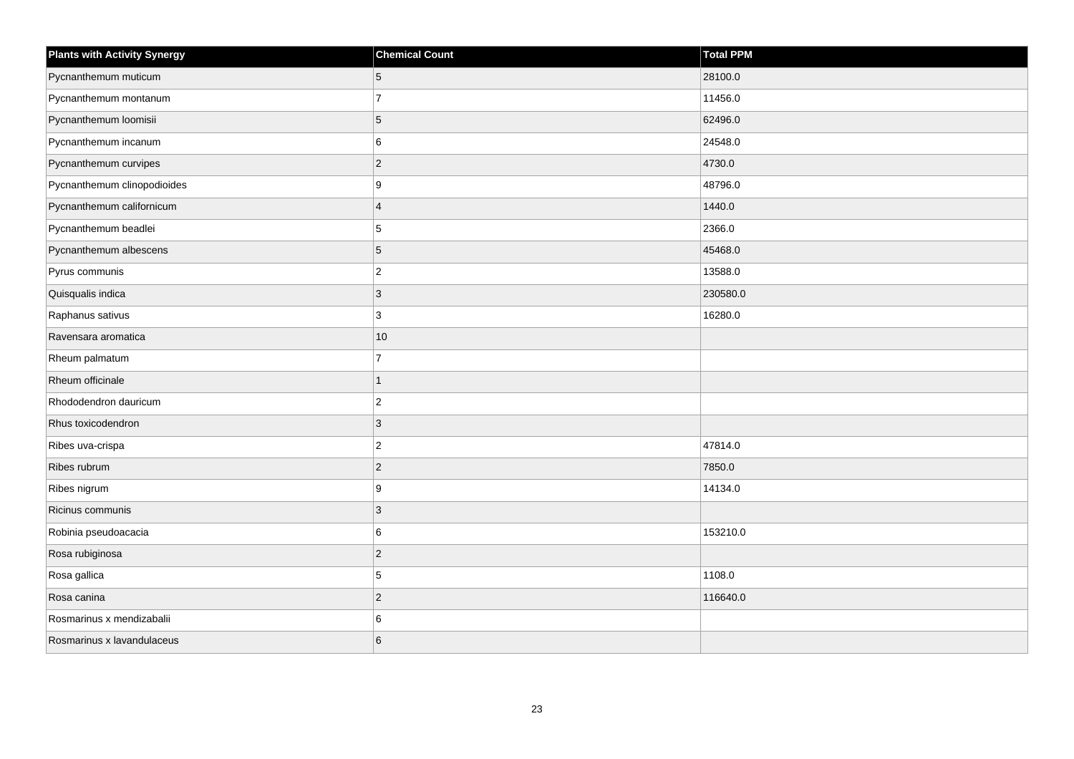| <b>Plants with Activity Synergy</b> | <b>Chemical Count</b> | <b>Total PPM</b> |
|-------------------------------------|-----------------------|------------------|
| Pycnanthemum muticum                | 5                     | 28100.0          |
| Pycnanthemum montanum               | $\overline{7}$        | 11456.0          |
| Pycnanthemum loomisii               | 5                     | 62496.0          |
| Pycnanthemum incanum                | 6                     | 24548.0          |
| Pycnanthemum curvipes               | $\overline{2}$        | 4730.0           |
| Pycnanthemum clinopodioides         | 9                     | 48796.0          |
| Pycnanthemum californicum           | $\boldsymbol{\Delta}$ | 1440.0           |
| Pycnanthemum beadlei                | 5                     | 2366.0           |
| Pycnanthemum albescens              | 5                     | 45468.0          |
| Pyrus communis                      | $\overline{c}$        | 13588.0          |
| Quisqualis indica                   | 3                     | 230580.0         |
| Raphanus sativus                    | 3                     | 16280.0          |
| Ravensara aromatica                 | $10$                  |                  |
| Rheum palmatum                      | $\overline{7}$        |                  |
| Rheum officinale                    |                       |                  |
| Rhododendron dauricum               | $\overline{2}$        |                  |
| Rhus toxicodendron                  | 3                     |                  |
| Ribes uva-crispa                    | $\overline{2}$        | 47814.0          |
| Ribes rubrum                        | $\overline{c}$        | 7850.0           |
| Ribes nigrum                        | 9                     | 14134.0          |
| Ricinus communis                    | 3                     |                  |
| Robinia pseudoacacia                | 6                     | 153210.0         |
| Rosa rubiginosa                     | $\overline{2}$        |                  |
| Rosa gallica                        | 5                     | 1108.0           |
| Rosa canina                         | $\overline{2}$        | 116640.0         |
| Rosmarinus x mendizabalii           | 6                     |                  |
| Rosmarinus x lavandulaceus          | 6                     |                  |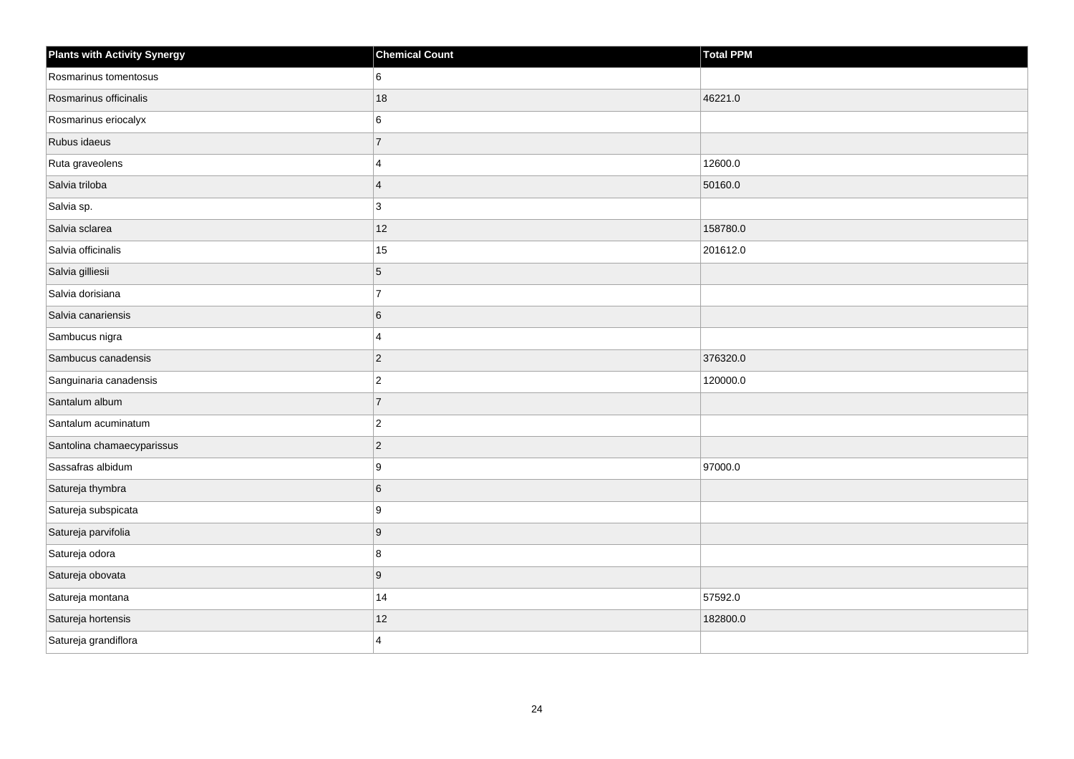| <b>Plants with Activity Synergy</b> | <b>Chemical Count</b> | <b>Total PPM</b> |
|-------------------------------------|-----------------------|------------------|
| Rosmarinus tomentosus               | 6                     |                  |
| Rosmarinus officinalis              | 18                    | 46221.0          |
| Rosmarinus eriocalyx                | 6                     |                  |
| Rubus idaeus                        | $\overline{7}$        |                  |
| Ruta graveolens                     | 4                     | 12600.0          |
| Salvia triloba                      | $\overline{4}$        | 50160.0          |
| Salvia sp.                          | 3                     |                  |
| Salvia sclarea                      | 12                    | 158780.0         |
| Salvia officinalis                  | 15                    | 201612.0         |
| Salvia gilliesii                    | 5                     |                  |
| Salvia dorisiana                    | $\overline{7}$        |                  |
| Salvia canariensis                  | 6                     |                  |
| Sambucus nigra                      | 4                     |                  |
| Sambucus canadensis                 | $\overline{2}$        | 376320.0         |
| Sanguinaria canadensis              | $\overline{2}$        | 120000.0         |
| Santalum album                      | $\overline{7}$        |                  |
| Santalum acuminatum                 | $\overline{c}$        |                  |
| Santolina chamaecyparissus          | $\overline{2}$        |                  |
| Sassafras albidum                   | 9                     | 97000.0          |
| Satureja thymbra                    | 6                     |                  |
| Satureja subspicata                 | 9                     |                  |
| Satureja parvifolia                 | 9                     |                  |
| Satureja odora                      | 8                     |                  |
| Satureja obovata                    | 9                     |                  |
| Satureja montana                    | 14                    | 57592.0          |
| Satureja hortensis                  | 12                    | 182800.0         |
| Satureja grandiflora                | 4                     |                  |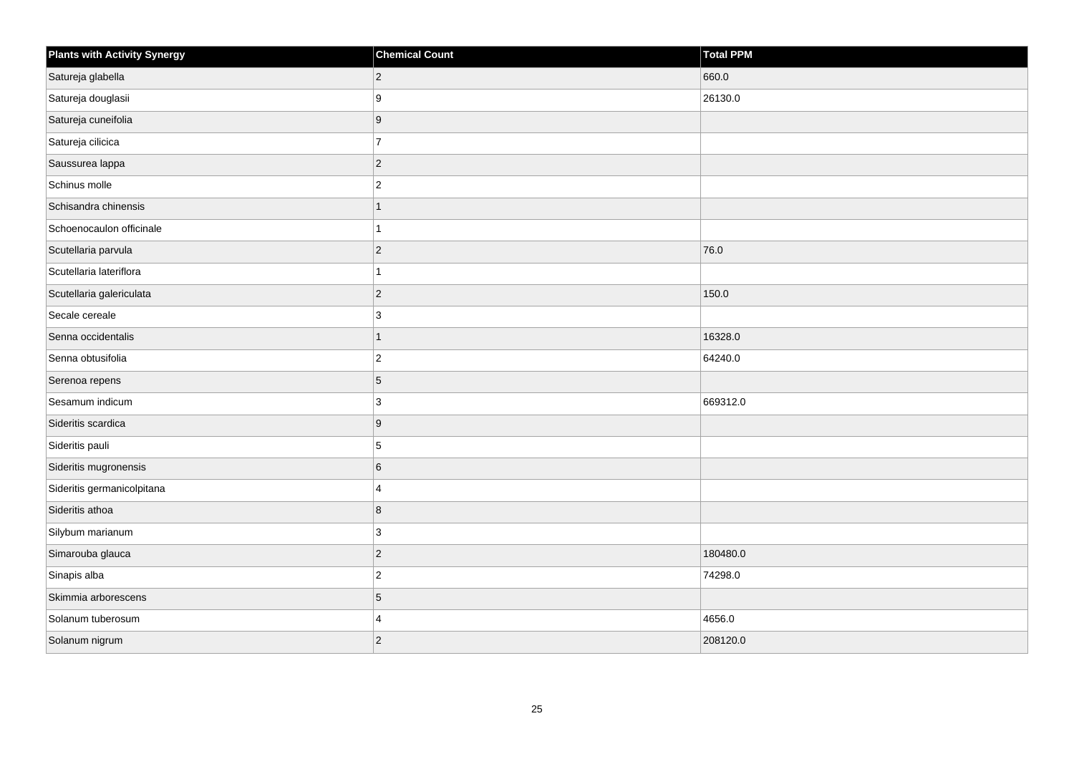| <b>Plants with Activity Synergy</b> | <b>Chemical Count</b> | Total PPM |
|-------------------------------------|-----------------------|-----------|
| Satureja glabella                   | $\overline{2}$        | 660.0     |
| Satureja douglasii                  | 9                     | 26130.0   |
| Satureja cuneifolia                 | 9                     |           |
| Satureja cilicica                   | $\overline{7}$        |           |
| Saussurea lappa                     | $\overline{2}$        |           |
| Schinus molle                       | $\overline{c}$        |           |
| Schisandra chinensis                | 1                     |           |
| Schoenocaulon officinale            |                       |           |
| Scutellaria parvula                 | $\overline{c}$        | 76.0      |
| Scutellaria lateriflora             | 1                     |           |
| Scutellaria galericulata            | $\overline{2}$        | 150.0     |
| Secale cereale                      | 3                     |           |
| Senna occidentalis                  | $\overline{1}$        | 16328.0   |
| Senna obtusifolia                   | $\overline{2}$        | 64240.0   |
| Serenoa repens                      | 5                     |           |
| Sesamum indicum                     | 3                     | 669312.0  |
| Sideritis scardica                  | 9                     |           |
| Sideritis pauli                     | 5                     |           |
| Sideritis mugronensis               | 6                     |           |
| Sideritis germanicolpitana          | $\overline{4}$        |           |
| Sideritis athoa                     | 8                     |           |
| Silybum marianum                    | 3                     |           |
| Simarouba glauca                    | $\overline{2}$        | 180480.0  |
| Sinapis alba                        | $\overline{2}$        | 74298.0   |
| Skimmia arborescens                 | 5                     |           |
| Solanum tuberosum                   | $\overline{4}$        | 4656.0    |
| Solanum nigrum                      | $\overline{2}$        | 208120.0  |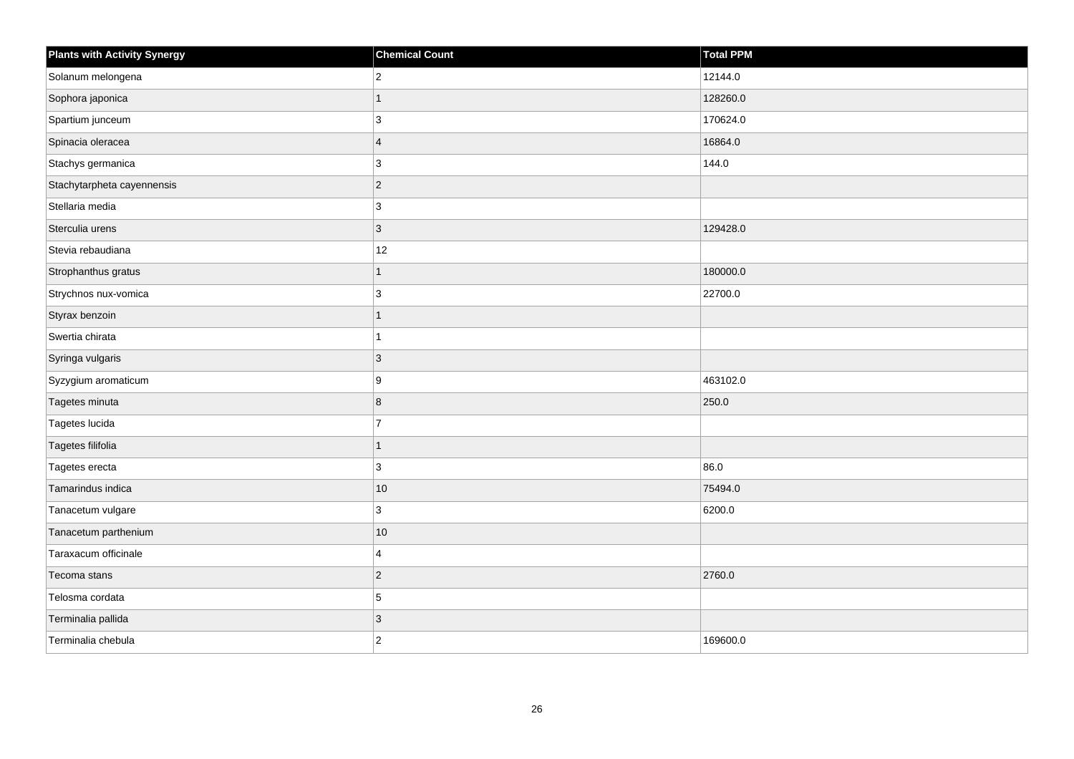| <b>Plants with Activity Synergy</b> | <b>Chemical Count</b> | Total PPM |
|-------------------------------------|-----------------------|-----------|
| Solanum melongena                   | $\overline{2}$        | 12144.0   |
| Sophora japonica                    |                       | 128260.0  |
| Spartium junceum                    | 3                     | 170624.0  |
| Spinacia oleracea                   | $\overline{4}$        | 16864.0   |
| Stachys germanica                   | 3                     | 144.0     |
| Stachytarpheta cayennensis          | $\overline{2}$        |           |
| Stellaria media                     | 3                     |           |
| Sterculia urens                     | 3                     | 129428.0  |
| Stevia rebaudiana                   | 12                    |           |
| Strophanthus gratus                 | 1                     | 180000.0  |
| Strychnos nux-vomica                | 3                     | 22700.0   |
| Styrax benzoin                      |                       |           |
| Swertia chirata                     |                       |           |
| Syringa vulgaris                    | 3                     |           |
| Syzygium aromaticum                 | 9                     | 463102.0  |
| Tagetes minuta                      | 8                     | 250.0     |
| Tagetes lucida                      | $\overline{7}$        |           |
| Tagetes filifolia                   | 1                     |           |
| Tagetes erecta                      | 3                     | 86.0      |
| Tamarindus indica                   | $10$                  | 75494.0   |
| Tanacetum vulgare                   | 3                     | 6200.0    |
| Tanacetum parthenium                | $10$                  |           |
| Taraxacum officinale                | 4                     |           |
| Tecoma stans                        | $\overline{2}$        | 2760.0    |
| Telosma cordata                     | 5                     |           |
| Terminalia pallida                  | 3                     |           |
| Terminalia chebula                  | $\overline{2}$        | 169600.0  |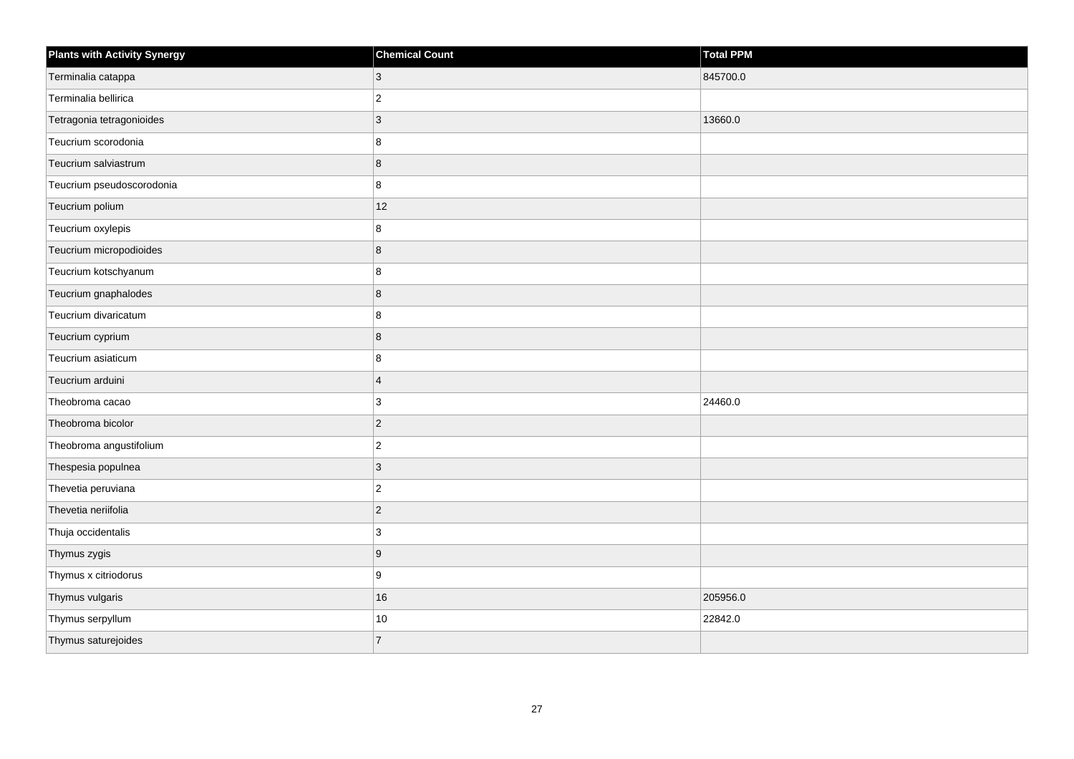| <b>Plants with Activity Synergy</b> | <b>Chemical Count</b> | Total PPM |
|-------------------------------------|-----------------------|-----------|
| Terminalia catappa                  | 3                     | 845700.0  |
| Terminalia bellirica                | $\overline{2}$        |           |
| Tetragonia tetragonioides           | $\overline{3}$        | 13660.0   |
| Teucrium scorodonia                 | 8                     |           |
| Teucrium salviastrum                | 8                     |           |
| Teucrium pseudoscorodonia           | 8                     |           |
| Teucrium polium                     | 12                    |           |
| Teucrium oxylepis                   | 8                     |           |
| Teucrium micropodioides             | 8                     |           |
| Teucrium kotschyanum                | 8                     |           |
| Teucrium gnaphalodes                | 8                     |           |
| Teucrium divaricatum                | 8                     |           |
| Teucrium cyprium                    | 8                     |           |
| Teucrium asiaticum                  | 8                     |           |
| Teucrium arduini                    | $\overline{4}$        |           |
| Theobroma cacao                     | 3                     | 24460.0   |
| Theobroma bicolor                   | $\overline{c}$        |           |
| Theobroma angustifolium             | $\overline{2}$        |           |
| Thespesia populnea                  | $\overline{3}$        |           |
| Thevetia peruviana                  | $\overline{2}$        |           |
| Thevetia neriifolia                 | $\overline{2}$        |           |
| Thuja occidentalis                  | 3                     |           |
| Thymus zygis                        | 9                     |           |
| Thymus x citriodorus                | 9                     |           |
| Thymus vulgaris                     | 16                    | 205956.0  |
| Thymus serpyllum                    | $10\,$                | 22842.0   |
| Thymus saturejoides                 | $\overline{7}$        |           |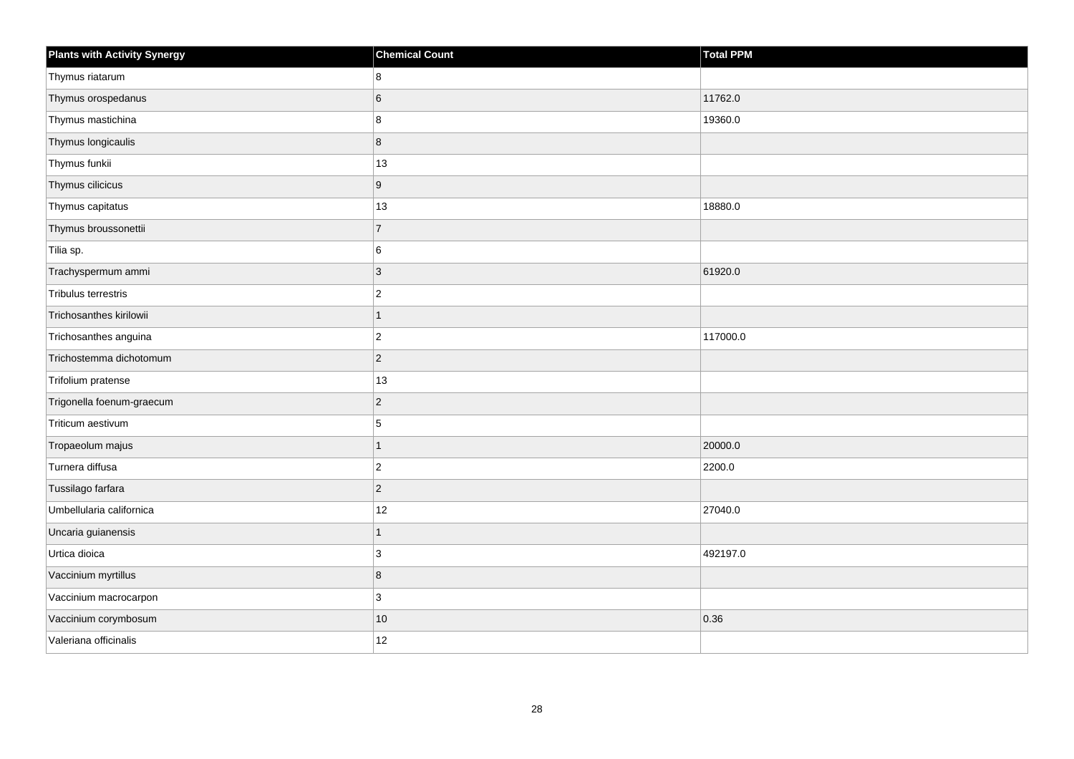| <b>Plants with Activity Synergy</b> | <b>Chemical Count</b> | <b>Total PPM</b> |
|-------------------------------------|-----------------------|------------------|
| Thymus riatarum                     | 8                     |                  |
| Thymus orospedanus                  | 6                     | 11762.0          |
| Thymus mastichina                   | 8                     | 19360.0          |
| Thymus longicaulis                  | 8                     |                  |
| Thymus funkii                       | 13                    |                  |
| Thymus cilicicus                    | 9                     |                  |
| Thymus capitatus                    | 13                    | 18880.0          |
| Thymus broussonettii                | $\overline{7}$        |                  |
| Tilia sp.                           | 6                     |                  |
| Trachyspermum ammi                  | $\overline{3}$        | 61920.0          |
| Tribulus terrestris                 | $\mathbf{2}$          |                  |
| Trichosanthes kirilowii             | $\overline{1}$        |                  |
| Trichosanthes anguina               | $\overline{c}$        | 117000.0         |
| Trichostemma dichotomum             | $\overline{2}$        |                  |
| Trifolium pratense                  | 13                    |                  |
| Trigonella foenum-graecum           | $\overline{c}$        |                  |
| Triticum aestivum                   | 5                     |                  |
| Tropaeolum majus                    | $\overline{1}$        | 20000.0          |
| Turnera diffusa                     | $\overline{2}$        | 2200.0           |
| Tussilago farfara                   | $\overline{c}$        |                  |
| Umbellularia californica            | 12                    | 27040.0          |
| Uncaria guianensis                  | $\overline{1}$        |                  |
| Urtica dioica                       | 3                     | 492197.0         |
| Vaccinium myrtillus                 | 8                     |                  |
| Vaccinium macrocarpon               | 3                     |                  |
| Vaccinium corymbosum                | $10$                  | 0.36             |
| Valeriana officinalis               | 12                    |                  |